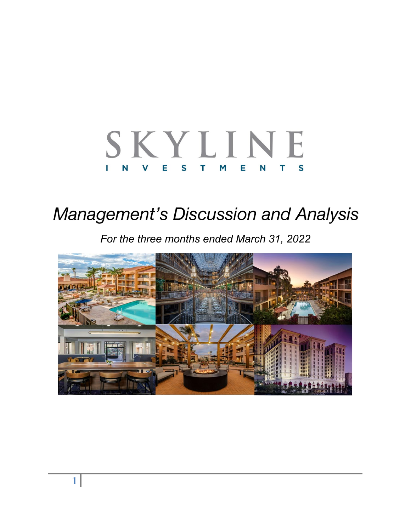#### SKYLINE E. N<sub>1</sub> Е  $\mathsf{S}$ T.  $\mathbf v$ M Е S N т

# **Management's Discussion and Analysis**

*For the three months ended March 31, 2022* 

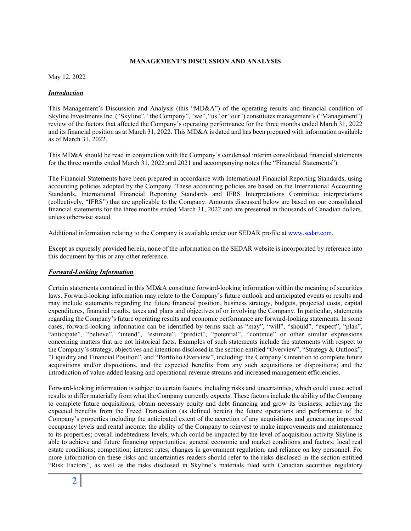#### **MANAGEMENT'S DISCUSSION AND ANALYSIS**

May 12, 2022

#### *Introduction*

This Management's Discussion and Analysis (this "MD&A") of the operating results and financial condition of Skyline Investments Inc. ("Skyline", "the Company", "we", "us" or "our") constitutes management's ("Management") review of the factors that affected the Company's operating performance for the three months ended March 31, 2022 and its financial position as at March 31, 2022. This MD&A is dated and has been prepared with information available as of March 31, 2022.

This MD&A should be read in conjunction with the Company's condensed interim consolidated financial statements for the three months ended March 31, 2022 and 2021 and accompanying notes (the "Financial Statements").

The Financial Statements have been prepared in accordance with International Financial Reporting Standards, using accounting policies adopted by the Company. These accounting policies are based on the International Accounting Standards, International Financial Reporting Standards and IFRS Interpretations Committee interpretations (collectively, "IFRS") that are applicable to the Company. Amounts discussed below are based on our consolidated financial statements for the three months ended March 31, 2022 and are presented in thousands of Canadian dollars, unless otherwise stated.

Additional information relating to the Company is available under our SEDAR profile at www.sedar.com.

Except as expressly provided herein, none of the information on the SEDAR website is incorporated by reference into this document by this or any other reference.

#### *Forward-Looking Information*

Certain statements contained in this MD&A constitute forward-looking information within the meaning of securities laws. Forward-looking information may relate to the Company's future outlook and anticipated events or results and may include statements regarding the future financial position, business strategy, budgets, projected costs, capital expenditures, financial results, taxes and plans and objectives of or involving the Company. In particular, statements regarding the Company's future operating results and economic performance are forward-looking statements. In some cases, forward-looking information can be identified by terms such as "may", "will", "should", "expect", "plan", "anticipate", "believe", "intend", "estimate", "predict", "potential", "continue" or other similar expressions concerning matters that are not historical facts. Examples of such statements include the statements with respect to the Company's strategy, objectives and intentions disclosed in the section entitled "Overview", "Strategy & Outlook", "Liquidity and Financial Position", and "Portfolio Overview", including: the Company's intention to complete future acquisitions and/or dispositions, and the expected benefits from any such acquisitions or dispositions; and the introduction of value-added leasing and operational revenue streams and increased management efficiencies.

Forward-looking information is subject to certain factors, including risks and uncertainties, which could cause actual results to differ materially from what the Company currently expects. These factors include the ability of the Company to complete future acquisitions, obtain necessary equity and debt financing and grow its business; achieving the expected benefits from the Freed Transaction (as defined herein) the future operations and performance of the Company's properties including the anticipated extent of the accretion of any acquisitions and generating improved occupancy levels and rental income: the ability of the Company to reinvest to make improvements and maintenance to its properties; overall indebtedness levels, which could be impacted by the level of acquisition activity Skyline is able to achieve and future financing opportunities; general economic and market conditions and factors; local real estate conditions; competition; interest rates; changes in government regulation; and reliance on key personnel. For more information on these risks and uncertainties readers should refer to the risks disclosed in the section entitled "Risk Factors", as well as the risks disclosed in Skyline's materials filed with Canadian securities regulatory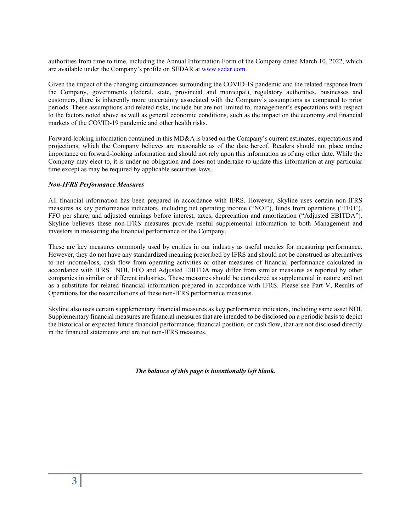authorities from time to time, including the Annual Information Form of the Company dated March 10, 2022, which are available under the Company's profile on SEDAR at www.sedar.com.

Given the impact of the changing circumstances surrounding the COVID-19 pandemic and the related response from the Company, governments (federal, state, provincial and municipal), regulatory authorities, businesses and customers, there is inherently more uncertainty associated with the Company's assumptions as compared to prior periods. These assumptions and related risks, include but are not limited to, management's expectations with respect to the factors noted above as well as general economic conditions, such as the impact on the economy and financial markets of the COVID-19 pandemic and other health risks.

Forward-looking information contained in this MD&A is based on the Company's current estimates, expectations and projections, which the Company believes are reasonable as of the date hereof. Readers should not place undue importance on forward-looking information and should not rely upon this information as of any other date. While the Company may elect to, it is under no obligation and does not undertake to update this information at any particular time except as may be required by applicable securities laws.

#### *Non-IFRS Performance Measures*

All financial information has been prepared in accordance with IFRS. However, Skyline uses certain non-IFRS measures as key performance indicators, including net operating income ("NOI"), funds from operations ("FFO"), FFO per share, and adjusted earnings before interest, taxes, depreciation and amortization ("Adjusted EBITDA"). Skyline believes these non-IFRS measures provide useful supplemental information to both Management and investors in measuring the financial performance of the Company.

These are key measures commonly used by entities in our industry as useful metrics for measuring performance. However, they do not have any standardized meaning prescribed by IFRS and should not be construed as alternatives to net income/loss, cash flow from operating activities or other measures of financial performance calculated in accordance with IFRS. NOI, FFO and Adjusted EBITDA may differ from similar measures as reported by other companies in similar or different industries. These measures should be considered as supplemental in nature and not as a substitute for related financial information prepared in accordance with IFRS. Please see Part V, Results of Operations for the reconciliations of these non-IFRS performance measures.

Skyline also uses certain supplementary financial measures as key performance indicators, including same asset NOI. Supplementary financial measures are financial measures that are intended to be disclosed on a periodic basis to depict the historical or expected future financial performance, financial position, or cash flow, that are not disclosed directly in the financial statements and are not non-IFRS measures.

*The balance of this page is intentionally left blank.*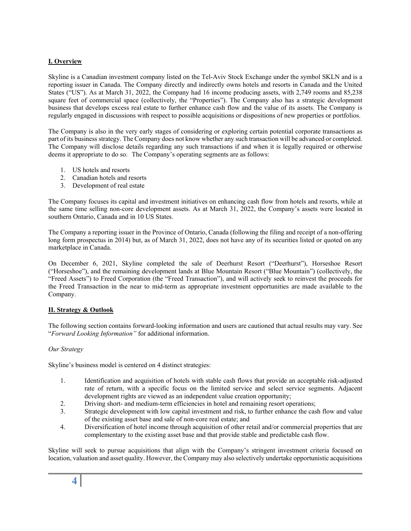## **I. Overview**

Skyline is a Canadian investment company listed on the Tel-Aviv Stock Exchange under the symbol SKLN and is a reporting issuer in Canada. The Company directly and indirectly owns hotels and resorts in Canada and the United States ("US"). As at March 31, 2022, the Company had 16 income producing assets, with 2,749 rooms and 85,238 square feet of commercial space (collectively, the "Properties"). The Company also has a strategic development business that develops excess real estate to further enhance cash flow and the value of its assets. The Company is regularly engaged in discussions with respect to possible acquisitions or dispositions of new properties or portfolios.

The Company is also in the very early stages of considering or exploring certain potential corporate transactions as part of its business strategy. The Company does not know whether any such transaction will be advanced or completed. The Company will disclose details regarding any such transactions if and when it is legally required or otherwise deems it appropriate to do so. The Company's operating segments are as follows:

- 1. US hotels and resorts
- 2. Canadian hotels and resorts
- 3. Development of real estate

The Company focuses its capital and investment initiatives on enhancing cash flow from hotels and resorts, while at the same time selling non-core development assets. As at March 31, 2022, the Company's assets were located in southern Ontario, Canada and in 10 US States.

The Company a reporting issuer in the Province of Ontario, Canada (following the filing and receipt of a non-offering long form prospectus in 2014) but, as of March 31, 2022, does not have any of its securities listed or quoted on any marketplace in Canada.

On December 6, 2021, Skyline completed the sale of Deerhurst Resort ("Deerhurst"), Horseshoe Resort ("Horseshoe"), and the remaining development lands at Blue Mountain Resort ("Blue Mountain") (collectively, the "Freed Assets") to Freed Corporation (the "Freed Transaction"), and will actively seek to reinvest the proceeds for the Freed Transaction in the near to mid-term as appropriate investment opportunities are made available to the Company.

#### **II. Strategy & Outlook**

The following section contains forward-looking information and users are cautioned that actual results may vary. See "*Forward Looking Information"* for additional information.

#### *Our Strategy*

Skyline's business model is centered on 4 distinct strategies:

- 1. Identification and acquisition of hotels with stable cash flows that provide an acceptable risk-adjusted rate of return, with a specific focus on the limited service and select service segments. Adjacent development rights are viewed as an independent value creation opportunity;
- 2. Driving short- and medium-term efficiencies in hotel and remaining resort operations;
- 3. Strategic development with low capital investment and risk, to further enhance the cash flow and value of the existing asset base and sale of non-core real estate; and
- 4. Diversification of hotel income through acquisition of other retail and/or commercial properties that are complementary to the existing asset base and that provide stable and predictable cash flow.

Skyline will seek to pursue acquisitions that align with the Company's stringent investment criteria focused on location, valuation and asset quality. However, the Company may also selectively undertake opportunistic acquisitions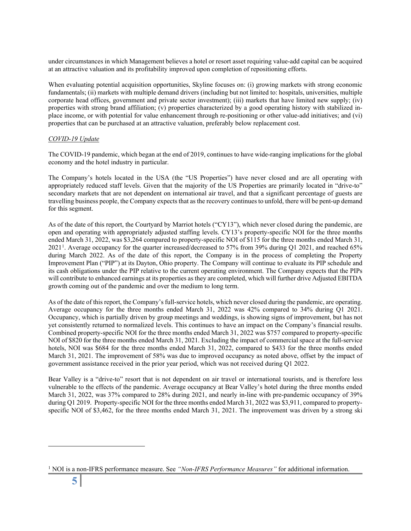under circumstances in which Management believes a hotel or resort asset requiring value-add capital can be acquired at an attractive valuation and its profitability improved upon completion of repositioning efforts.

When evaluating potential acquisition opportunities, Skyline focuses on: (i) growing markets with strong economic fundamentals; (ii) markets with multiple demand drivers (including but not limited to: hospitals, universities, multiple corporate head offices, government and private sector investment); (iii) markets that have limited new supply; (iv) properties with strong brand affiliation; (v) properties characterized by a good operating history with stabilized inplace income, or with potential for value enhancement through re-positioning or other value-add initiatives; and (vi) properties that can be purchased at an attractive valuation, preferably below replacement cost.

#### *COVID-19 Update*

The COVID-19 pandemic, which began at the end of 2019, continues to have wide-ranging implications for the global economy and the hotel industry in particular.

The Company's hotels located in the USA (the "US Properties") have never closed and are all operating with appropriately reduced staff levels. Given that the majority of the US Properties are primarily located in "drive-to" secondary markets that are not dependent on international air travel, and that a significant percentage of guests are travelling business people, the Company expects that as the recovery continuesto unfold, there will be pent-up demand for this segment.

As of the date of this report, the Courtyard by Marriot hotels ("CY13"), which never closed during the pandemic, are open and operating with appropriately adjusted staffing levels. CY13's property-specific NOI for the three months ended March 31, 2022, was \$3,264 compared to property-specific NOI of \$115 for the three months ended March 31, 2021<sup>1</sup>. Average occupancy for the quarter increased/decreased to 57% from 39% during Q1 2021, and reached 65% during March 2022. As of the date of this report, the Company is in the process of completing the Property Improvement Plan ("PIP") at its Dayton, Ohio property. The Company will continue to evaluate its PIP schedule and its cash obligations under the PIP relative to the current operating environment. The Company expects that the PIPs will contribute to enhanced earnings at its properties as they are completed, which will further drive Adjusted EBITDA growth coming out of the pandemic and over the medium to long term.

As of the date of this report, the Company's full-service hotels, which never closed during the pandemic, are operating. Average occupancy for the three months ended March 31, 2022 was 42% compared to 34% during Q1 2021. Occupancy, which is partially driven by group meetings and weddings, is showing signs of improvement, but has not yet consistently returned to normalized levels. This continues to have an impact on the Company's financial results. Combined property-specific NOI for the three months ended March 31, 2022 was \$757 compared to property-specific NOI of \$820 for the three months ended March 31, 2021. Excluding the impact of commercial space at the full-service hotels, NOI was \$684 for the three months ended March 31, 2022, compared to \$433 for the three months ended March 31, 2021. The improvement of 58% was due to improved occupancy as noted above, offset by the impact of government assistance received in the prior year period, which was not received during Q1 2022.

Bear Valley is a "drive-to" resort that is not dependent on air travel or international tourists, and is therefore less vulnerable to the effects of the pandemic. Average occupancy at Bear Valley's hotel during the three months ended March 31, 2022, was 37% compared to 28% during 2021, and nearly in-line with pre-pandemic occupancy of 39% during Q1 2019. Property-specific NOI for the three months ended March 31, 2022 was \$3,911, compared to propertyspecific NOI of \$3,462, for the three months ended March 31, 2021. The improvement was driven by a strong ski

<sup>1</sup> NOI is a non-IFRS performance measure. See *"Non-IFRS Performance Measures"* for additional information.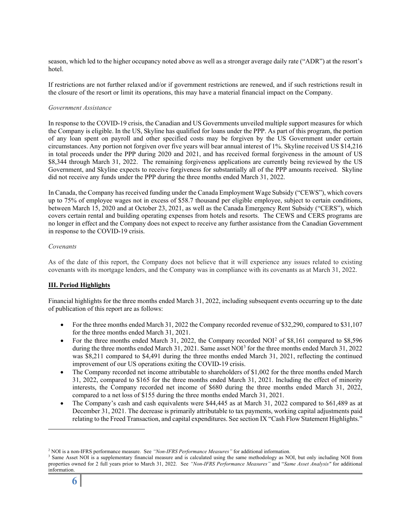season, which led to the higher occupancy noted above as well as a stronger average daily rate ("ADR") at the resort's hotel.

If restrictions are not further relaxed and/or if government restrictions are renewed, and if such restrictions result in the closure of the resort or limit its operations, this may have a material financial impact on the Company.

#### *Government Assistance*

In response to the COVID-19 crisis, the Canadian and US Governments unveiled multiple support measures for which the Company is eligible. In the US, Skyline has qualified for loans under the PPP. As part of this program, the portion of any loan spent on payroll and other specified costs may be forgiven by the US Government under certain circumstances. Any portion not forgiven over five years will bear annual interest of 1%. Skyline received US \$14,216 in total proceeds under the PPP during 2020 and 2021, and has received formal forgiveness in the amount of US \$8,344 through March 31, 2022. The remaining forgiveness applications are currently being reviewed by the US Government, and Skyline expects to receive forgiveness for substantially all of the PPP amounts received. Skyline did not receive any funds under the PPP during the three months ended March 31, 2022.

In Canada, the Company has received funding under the Canada Employment Wage Subsidy ("CEWS"), which covers up to 75% of employee wages not in excess of \$58.7 thousand per eligible employee, subject to certain conditions, between March 15, 2020 and at October 23, 2021, as well as the Canada Emergency Rent Subsidy ("CERS"), which covers certain rental and building operating expenses from hotels and resorts. The CEWS and CERS programs are no longer in effect and the Company does not expect to receive any further assistance from the Canadian Government in response to the COVID-19 crisis.

#### *Covenants*

As of the date of this report, the Company does not believe that it will experience any issues related to existing covenants with its mortgage lenders, and the Company was in compliance with its covenants as at March 31, 2022.

#### **III. Period Highlights**

Financial highlights for the three months ended March 31, 2022, including subsequent events occurring up to the date of publication of this report are as follows:

- For the three months ended March 31, 2022 the Company recorded revenue of \$32,290, compared to \$31,107 for the three months ended March 31, 2021.
- For the three months ended March 31, 2022, the Company recorded NOI<sup>2</sup> of \$8,161 compared to \$8,596 during the three months ended March 31, 2021. Same asset NOI<sup>3</sup> for the three months ended March 31, 2022 was \$8,211 compared to \$4,491 during the three months ended March 31, 2021, reflecting the continued improvement of our US operations exiting the COVID-19 crisis.
- The Company recorded net income attributable to shareholders of \$1,002 for the three months ended March 31, 2022, compared to \$165 for the three months ended March 31, 2021. Including the effect of minority interests, the Company recorded net income of \$680 during the three months ended March 31, 2022, compared to a net loss of \$155 during the three months ended March 31, 2021.
- The Company's cash and cash equivalents were \$44,445 as at March 31, 2022 compared to \$61,489 as at December 31, 2021. The decrease is primarily attributable to tax payments, working capital adjustments paid relating to the Freed Transaction, and capital expenditures. See section IX "Cash Flow Statement Highlights."

<sup>2</sup> NOI is a non-IFRS performance measure. See *"Non-IFRS Performance Measures"* for additional information.

<sup>&</sup>lt;sup>3</sup> Same Asset NOI is a supplementary financial measure and is calculated using the same methodology as NOI, but only including NOI from properties owned for 2 full years prior to March 31, 2022. See *"Non-IFRS Performance Measures"* and "*Same Asset Analysis"* for additional information.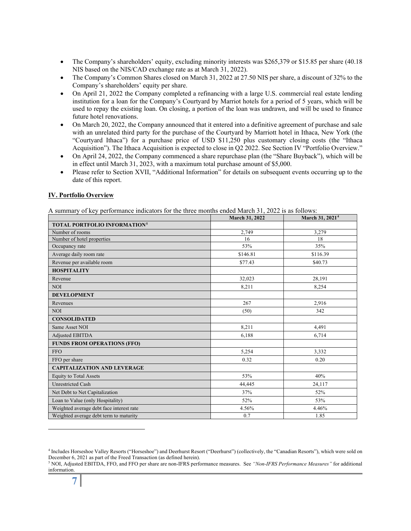- The Company's shareholders' equity, excluding minority interests was \$265,379 or \$15.85 per share (40.18 NIS based on the NIS/CAD exchange rate as at March 31, 2022).
- The Company's Common Shares closed on March 31, 2022 at 27.50 NIS per share, a discount of 32% to the Company's shareholders' equity per share.
- On April 21, 2022 the Company completed a refinancing with a large U.S. commercial real estate lending institution for a loan for the Company's Courtyard by Marriot hotels for a period of 5 years, which will be used to repay the existing loan. On closing, a portion of the loan was undrawn, and will be used to finance future hotel renovations.
- On March 20, 2022, the Company announced that it entered into a definitive agreement of purchase and sale with an unrelated third party for the purchase of the Courtyard by Marriott hotel in Ithaca, New York (the "Courtyard Ithaca") for a purchase price of USD \$11,250 plus customary closing costs (the "Ithaca Acquisition"). The Ithaca Acquisition is expected to close in Q2 2022. See Section IV "Portfolio Overview."
- On April 24, 2022, the Company commenced a share repurchase plan (the "Share Buyback"), which will be in effect until March 31, 2023, with a maximum total purchase amount of \$5,000.
- Please refer to Section XVII, "Additional Information" for details on subsequent events occurring up to the date of this report.

#### **IV. Portfolio Overview**

A summary of key performance indicators for the three months ended March 31, 2022 is as follows:

|                                                | March 31, 2022 | March 31, 2021 <sup>4</sup> |
|------------------------------------------------|----------------|-----------------------------|
| <b>TOTAL PORTFOLIO INFORMATION<sup>5</sup></b> |                |                             |
| Number of rooms                                | 2,749          | 3,279                       |
| Number of hotel properties                     | 16             | 18                          |
| Occupancy rate                                 | 53%            | 35%                         |
| Average daily room rate                        | \$146.81       | \$116.39                    |
| Revenue per available room                     | \$77.43        | \$40.73                     |
| <b>HOSPITALITY</b>                             |                |                             |
| Revenue                                        | 32,023         | 28,191                      |
| <b>NOI</b>                                     | 8,211          | 8,254                       |
| <b>DEVELOPMENT</b>                             |                |                             |
| Revenues                                       | 267            | 2,916                       |
| <b>NOI</b>                                     | (50)           | 342                         |
| <b>CONSOLIDATED</b>                            |                |                             |
| Same Asset NOI                                 | 8,211          | 4,491                       |
| Adjusted EBITDA                                | 6,188          | 6,714                       |
| <b>FUNDS FROM OPERATIONS (FFO)</b>             |                |                             |
| <b>FFO</b>                                     | 5,254          | 3,332                       |
| FFO per share                                  | 0.32           | 0.20                        |
| <b>CAPITALIZATION AND LEVERAGE</b>             |                |                             |
| <b>Equity to Total Assets</b>                  | 53%            | 40%                         |
| <b>Unrestricted Cash</b>                       | 44,445         | 24,117                      |
| Net Debt to Net Capitalization                 | 37%            | 52%                         |
| Loan to Value (only Hospitality)               | 52%            | 53%                         |
| Weighted average debt face interest rate       | 4.56%          | 4.46%                       |
| Weighted average debt term to maturity         | 0.7            | 1.85                        |

<sup>4</sup> Includes Horseshoe Valley Resorts ("Horseshoe") and Deerhurst Resort ("Deerhurst") (collectively, the "Canadian Resorts"), which were sold on December 6, 2021 as part of the Freed Transaction (as defined herein).

<sup>5</sup> NOI, Adjusted EBITDA, FFO, and FFO per share are non-IFRS performance measures. See *"Non-IFRS Performance Measures"* for additional information.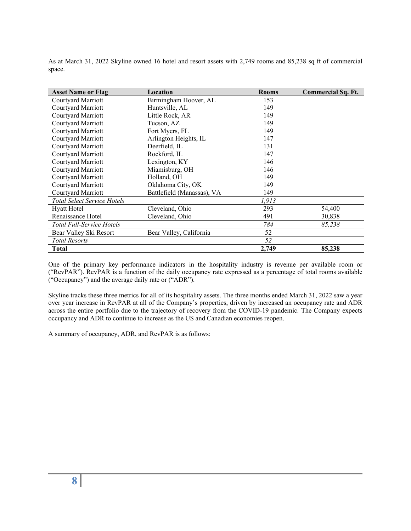As at March 31, 2022 Skyline owned 16 hotel and resort assets with 2,749 rooms and 85,238 sq ft of commercial space.

| <b>Asset Name or Flag</b>          | Location                   | <b>Rooms</b> | <b>Commercial Sq. Ft.</b> |
|------------------------------------|----------------------------|--------------|---------------------------|
| Courtyard Marriott                 | Birmingham Hoover, AL      | 153          |                           |
| Courtyard Marriott                 | Huntsville, AL             | 149          |                           |
| Courtyard Marriott                 | Little Rock, AR            | 149          |                           |
| Courtyard Marriott                 | Tucson, AZ                 | 149          |                           |
| Courtyard Marriott                 | Fort Myers, FL             | 149          |                           |
| Courtyard Marriott                 | Arlington Heights, IL      | 147          |                           |
| Courtyard Marriott                 | Deerfield, IL              | 131          |                           |
| Courtyard Marriott                 | Rockford, IL               | 147          |                           |
| Courtyard Marriott                 | Lexington, KY              | 146          |                           |
| Courtyard Marriott                 | Miamisburg, OH             | 146          |                           |
| Courtyard Marriott                 | Holland, OH                | 149          |                           |
| Courtyard Marriott                 | Oklahoma City, OK          | 149          |                           |
| Courtyard Marriott                 | Battlefield (Manassas), VA | 149          |                           |
| <b>Total Select Service Hotels</b> |                            | 1,913        |                           |
| Hyatt Hotel                        | Cleveland, Ohio            | 293          | 54,400                    |
| Renaissance Hotel                  | Cleveland, Ohio            | 491          | 30,838                    |
| <b>Total Full-Service Hotels</b>   |                            | 784          | 85,238                    |
| Bear Valley Ski Resort             | Bear Valley, California    | 52           |                           |
| <b>Total Resorts</b>               |                            | 52           |                           |
| Total                              |                            | 2,749        | 85,238                    |

One of the primary key performance indicators in the hospitality industry is revenue per available room or ("RevPAR"). RevPAR is a function of the daily occupancy rate expressed as a percentage of total rooms available ("Occupancy") and the average daily rate or ("ADR").

Skyline tracks these three metrics for all of its hospitality assets. The three months ended March 31, 2022 saw a year over year increase in RevPAR at all of the Company's properties, driven by increased an occupancy rate and ADR across the entire portfolio due to the trajectory of recovery from the COVID-19 pandemic. The Company expects occupancy and ADR to continue to increase as the US and Canadian economies reopen.

A summary of occupancy, ADR, and RevPAR is as follows: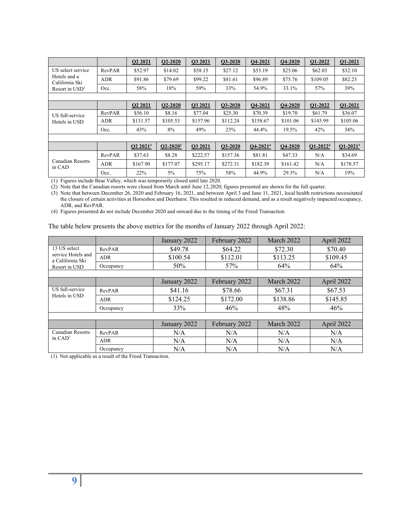|                                |            | Q2 2021              | $Q2 - 2020$   | Q3 2021  | <b>O3-2020</b> | O4-2021        | <b>O4-2020</b> | Q1-2022    | Q1-2021       |
|--------------------------------|------------|----------------------|---------------|----------|----------------|----------------|----------------|------------|---------------|
| US select service              | RevPAR     | \$52.97              | \$14.02       | \$58.15  | \$27.12        | \$53.19        | \$25.06        | \$62.03    | \$32.10       |
| Hotels and a<br>California Ski | <b>ADR</b> | \$91.86              | \$79.69       | \$99.22  | \$81.61        | \$96.89        | \$75.76        | \$109.05   | \$82.23       |
| Resort in $USD1$               | Occ.       | 58%                  | 18%           | 59%      | 33%            | 54.9%          | 33.1%          | 57%        | 39%           |
|                                |            |                      |               |          |                |                |                |            |               |
|                                |            | Q2 2021              | $Q2 - 2020$   | Q3 2021  | <b>O3-2020</b> | <b>O4-2021</b> | <b>O4-2020</b> | Q1-2022    | Q1-2021       |
| US full-service                | RevPAR     | \$56.10              | \$8.16        | \$77.04  | \$25.30        | \$70.39        | \$19.70        | \$61.79    | \$36.07       |
| Hotels in USD                  | <b>ADR</b> | \$131.57             | \$105.53      | \$157.96 | \$112.24       | \$158.67       | \$101.06       | \$145.99   | \$105.06      |
|                                | Occ.       | 43%                  | 8%            | 49%      | 23%            | 44.4%          | 19.5%          | 42%        | 34%           |
|                                |            |                      |               |          |                |                |                |            |               |
|                                |            | Q2 2021 <sup>3</sup> | $Q2 - 2020^2$ | O3 2021  | $O3-2020$      | $Q4 - 20214$   | <b>O4-2020</b> | $Q1-20224$ | $Q1 - 2021^3$ |
|                                | RevPAR     | \$37.63              | \$8.28        | \$222.57 | \$157.36       | \$81.81        | \$47.33        | N/A        | \$34.69       |
| Canadian Resorts<br>in CAD     | <b>ADR</b> | \$167.90             | \$177.07      | \$295.17 | \$272.31       | \$182.39       | \$161.42       | N/A        | \$178.57      |
|                                | Occ.       | 22%                  | $5\%$         | 75%      | 58%            | 44.9%          | 29.3%          | N/A        | 19%           |

(1) Figures include Bear Valley, which was temporarily closed until late 2020.

(2) Note that the Canadian resorts were closed from March until June 12,2020; figures presented are shown for the full quarter.

(3) Note that between December 26, 2020 and February 16, 2021, and between April 3 and June 11, 2021, local health restrictions necessitated the closure of certain activities at Horseshoe and Deerhurst. This resulted in reduced demand, and as a result negatively impacted occupancy, ADR, and RevPAR.

(4) Figures presented do not include December 2020 and onward due to the timing of the Freed Transaction.

The table below presents the above metrics for the months of January 2022 through April 2022:

|                                        |            | January 2022 | February 2022 | March 2022 | April 2022 |
|----------------------------------------|------------|--------------|---------------|------------|------------|
| 13 US select                           | RevPAR     | \$49.78      | \$64.22       | \$72.30    | \$70.40    |
| service Hotels and<br>a California Ski | <b>ADR</b> | \$100.54     | \$112.01      | \$113.25   | \$109.45   |
| Resort in USD                          | Occupancy  | 50%          | 57%           | 64%        | 64%        |
|                                        |            |              |               |            |            |
|                                        |            | January 2022 | February 2022 | March 2022 | April 2022 |
| US full-service                        | RevPAR     | \$41.16      | \$78.66       | \$67.31    | \$67.53    |
| Hotels in USD                          | <b>ADR</b> | \$124.25     | \$172.00      | \$138.86   | \$145.85   |
|                                        | Occupancy  | 33%          | 46%           | 48%        | 46%        |
|                                        |            |              |               |            |            |
|                                        |            | January 2022 | February 2022 | March 2022 | April 2022 |
| <b>Canadian Resorts</b>                | RevPAR     | N/A          | N/A           | N/A        | N/A        |
| in $CAD1$                              | <b>ADR</b> | N/A          | N/A           | N/A        | N/A        |
|                                        | Occupancy  | N/A          | N/A           | N/A        | N/A        |

(1) Not applicable as a result of the Freed Transaction.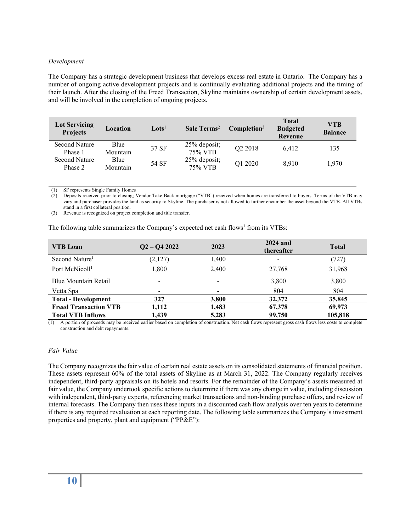#### *Development*

The Company has a strategic development business that develops excess real estate in Ontario. The Company has a number of ongoing active development projects and is continually evaluating additional projects and the timing of their launch. After the closing of the Freed Transaction, Skyline maintains ownership of certain development assets, and will be involved in the completion of ongoing projects.

| <b>Lot Servicing</b><br><b>Projects</b> | Location         | $\mathbf{Lots}^{\mathsf{I}}$ | Sale Terms <sup>2</sup> | Completion <sup>3</sup> | <b>Total</b><br><b>Budgeted</b><br>Revenue | <b>VTB</b><br><b>Balance</b> |
|-----------------------------------------|------------------|------------------------------|-------------------------|-------------------------|--------------------------------------------|------------------------------|
| <b>Second Nature</b><br>Phase 1         | Blue<br>Mountain | 37 SF                        | 25% deposit;<br>75% VTB | Q2 2018                 | 6.412                                      | 135                          |
| <b>Second Nature</b><br>Phase 2         | Blue<br>Mountain | 54 SF                        | 25% deposit;<br>75% VTB | Q1 2020                 | 8.910                                      | 1.970                        |

(1) SF represents Single Family Homes

(2) Deposits received prior to closing; Vendor Take Back mortgage ("VTB") received when homes are transferred to buyers. Terms of the VTB may vary and purchaser provides the land as security to Skyline. The purchaser is not allowed to further encumber the asset beyond the VTB. All VTBs stand in a first collateral position.

(3) Revenue is recognized on project completion and title transfer.

The following table summarizes the Company's expected net cash flows<sup>1</sup> from its VTBs:

| <b>VTB Loan</b>              | $Q2 - Q42022$ | 2023                     | 2024 and<br>thereafter | <b>Total</b> |
|------------------------------|---------------|--------------------------|------------------------|--------------|
| Second Nature <sup>1</sup>   | (2,127)       | 1,400                    |                        | (727)        |
| Port McNicoll <sup>1</sup>   | 1,800         | 2,400                    | 27,768                 | 31,968       |
| <b>Blue Mountain Retail</b>  |               | $\overline{\phantom{0}}$ | 3,800                  | 3,800        |
| Vetta Spa                    |               |                          | 804                    | 804          |
| <b>Total - Development</b>   | 327           | 3,800                    | 32,372                 | 35,845       |
| <b>Freed Transaction VTB</b> | 1,112         | 1,483                    | 67,378                 | 69,973       |
| <b>Total VTB Inflows</b>     | 1.439         | 5,283                    | 99,750                 | 105,818      |

(1) A portion of proceeds may be received earlier based on completion of construction. Net cash flows represent gross cash flows less costs to complete construction and debt repayments.

#### *Fair Value*

The Company recognizes the fair value of certain real estate assets on its consolidated statements of financial position. These assets represent 60% of the total assets of Skyline as at March 31, 2022. The Company regularly receives independent, third-party appraisals on its hotels and resorts. For the remainder of the Company's assets measured at fair value, the Company undertook specific actions to determine if there was any change in value, including discussion with independent, third-party experts, referencing market transactions and non-binding purchase offers, and review of internal forecasts. The Company then uses these inputs in a discounted cash flow analysis over ten years to determine if there is any required revaluation at each reporting date. The following table summarizes the Company's investment properties and property, plant and equipment ("PP&E"):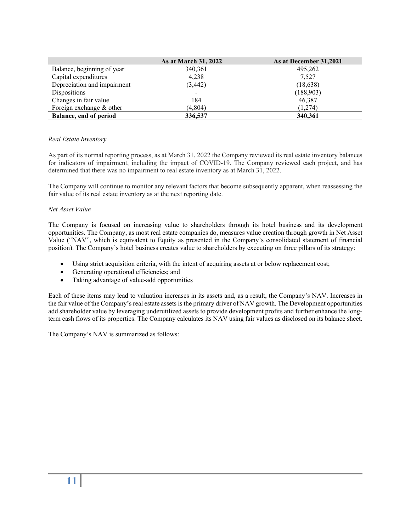|                             | As at March 31, 2022 | As at December 31,2021 |
|-----------------------------|----------------------|------------------------|
| Balance, beginning of year  | 340, 361             | 495,262                |
| Capital expenditures        | 4,238                | 7,527                  |
| Depreciation and impairment | (3, 442)             | (18, 638)              |
| Dispositions                |                      | (188,903)              |
| Changes in fair value       | 184                  | 46,387                 |
| Foreign exchange & other    | (4,804)              | (1,274)                |
| Balance, end of period      | 336,537              | 340,361                |

#### *Real Estate Inventory*

As part of its normal reporting process, as at March 31, 2022 the Company reviewed its real estate inventory balances for indicators of impairment, including the impact of COVID-19. The Company reviewed each project, and has determined that there was no impairment to real estate inventory as at March 31, 2022.

The Company will continue to monitor any relevant factors that become subsequently apparent, when reassessing the fair value of its real estate inventory as at the next reporting date.

#### *Net Asset Value*

The Company is focused on increasing value to shareholders through its hotel business and its development opportunities. The Company, as most real estate companies do, measures value creation through growth in Net Asset Value ("NAV", which is equivalent to Equity as presented in the Company's consolidated statement of financial position). The Company's hotel business creates value to shareholders by executing on three pillars of its strategy:

- Using strict acquisition criteria, with the intent of acquiring assets at or below replacement cost;
- Generating operational efficiencies; and
- Taking advantage of value-add opportunities

Each of these items may lead to valuation increases in its assets and, as a result, the Company's NAV. Increases in the fair value of the Company's real estate assets is the primary driver of NAV growth. The Development opportunities add shareholder value by leveraging underutilized assets to provide development profits and further enhance the longterm cash flows of its properties. The Company calculates its NAV using fair values as disclosed on its balance sheet.

The Company's NAV is summarized as follows: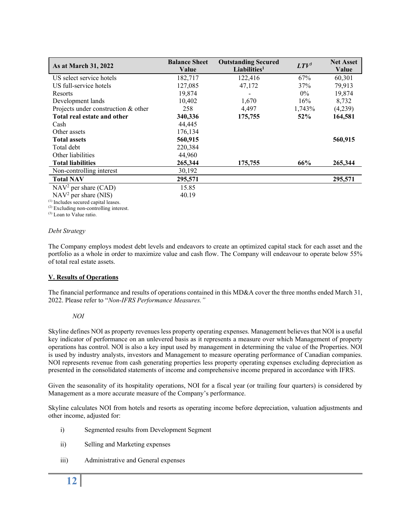| As at March 31, 2022                | <b>Balance Sheet</b><br>Value | <b>Outstanding Secured</b><br>Liabilities <sup>1</sup> | $LTV^3$ | <b>Net Asset</b><br>Value |
|-------------------------------------|-------------------------------|--------------------------------------------------------|---------|---------------------------|
| US select service hotels            | 182,717                       | 122,416                                                | 67%     | 60,301                    |
| US full-service hotels              | 127,085                       | 47,172                                                 | 37%     | 79,913                    |
| Resorts                             | 19,874                        |                                                        | $0\%$   | 19,874                    |
| Development lands                   | 10,402                        | 1,670                                                  | 16%     | 8,732                     |
| Projects under construction & other | 258                           | 4,497                                                  | 1,743%  | (4,239)                   |
| Total real estate and other         | 340,336                       | 175,755                                                | $52\%$  | 164,581                   |
| Cash                                | 44,445                        |                                                        |         |                           |
| Other assets                        | 176,134                       |                                                        |         |                           |
| <b>Total assets</b>                 | 560,915                       |                                                        |         | 560,915                   |
| Total debt                          | 220,384                       |                                                        |         |                           |
| Other liabilities                   | 44,960                        |                                                        |         |                           |
| <b>Total liabilities</b>            | 265,344                       | 175,755                                                | 66%     | 265,344                   |
| Non-controlling interest            | 30,192                        |                                                        |         |                           |
| <b>Total NAV</b>                    | 295,571                       |                                                        |         | 295,571                   |
| $NAV2$ per share (CAD)              | 15.85                         |                                                        |         |                           |
| $NAV2$ per share (NIS)              | 40.19                         |                                                        |         |                           |

(1) Includes secured capital leases.

(2) Excluding non-controlling interest.

(3) Loan to Value ratio.

#### *Debt Strategy*

The Company employs modest debt levels and endeavors to create an optimized capital stack for each asset and the portfolio as a whole in order to maximize value and cash flow. The Company will endeavour to operate below 55% of total real estate assets.

#### **V. Results of Operations**

The financial performance and results of operations contained in this MD&A cover the three months ended March 31, 2022. Please refer to "*Non-IFRS Performance Measures."*

#### *NOI*

Skyline defines NOI as property revenues less property operating expenses. Management believes that NOI is a useful key indicator of performance on an unlevered basis as it represents a measure over which Management of property operations has control. NOI is also a key input used by management in determining the value of the Properties. NOI is used by industry analysts, investors and Management to measure operating performance of Canadian companies. NOI represents revenue from cash generating properties less property operating expenses excluding depreciation as presented in the consolidated statements of income and comprehensive income prepared in accordance with IFRS.

Given the seasonality of its hospitality operations, NOI for a fiscal year (or trailing four quarters) is considered by Management as a more accurate measure of the Company's performance.

Skyline calculates NOI from hotels and resorts as operating income before depreciation, valuation adjustments and other income, adjusted for:

- i) Segmented results from Development Segment
- ii) Selling and Marketing expenses
- iii) Administrative and General expenses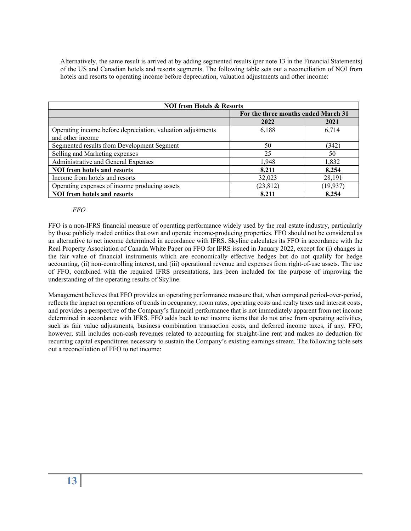Alternatively, the same result is arrived at by adding segmented results (per note 13 in the Financial Statements) of the US and Canadian hotels and resorts segments. The following table sets out a reconciliation of NOI from hotels and resorts to operating income before depreciation, valuation adjustments and other income:

| <b>NOI from Hotels &amp; Resorts</b>                        |                                     |           |  |  |
|-------------------------------------------------------------|-------------------------------------|-----------|--|--|
|                                                             | For the three months ended March 31 |           |  |  |
|                                                             | 2022                                | 2021      |  |  |
| Operating income before depreciation, valuation adjustments | 6,188                               | 6,714     |  |  |
| and other income                                            |                                     |           |  |  |
| Segmented results from Development Segment                  | 50                                  | (342)     |  |  |
| Selling and Marketing expenses                              | 25                                  | 50        |  |  |
| Administrative and General Expenses                         | 1,948                               | 1,832     |  |  |
| <b>NOI</b> from hotels and resorts                          | 8,211                               | 8,254     |  |  |
| Income from hotels and resorts                              | 32,023                              | 28,191    |  |  |
| Operating expenses of income producing assets               | (23, 812)                           | (19, 937) |  |  |
| <b>NOI</b> from hotels and resorts                          | 8.211                               | 8,254     |  |  |

#### *FFO*

FFO is a non-IFRS financial measure of operating performance widely used by the real estate industry, particularly by those publicly traded entities that own and operate income-producing properties. FFO should not be considered as an alternative to net income determined in accordance with IFRS. Skyline calculates its FFO in accordance with the Real Property Association of Canada White Paper on FFO for IFRS issued in January 2022, except for (i) changes in the fair value of financial instruments which are economically effective hedges but do not qualify for hedge accounting, (ii) non-controlling interest, and (iii) operational revenue and expenses from right-of-use assets. The use of FFO, combined with the required IFRS presentations, has been included for the purpose of improving the understanding of the operating results of Skyline.

Management believes that FFO provides an operating performance measure that, when compared period-over-period, reflects the impact on operations of trends in occupancy, room rates, operating costs and realty taxes and interest costs, and provides a perspective of the Company's financial performance that is not immediately apparent from net income determined in accordance with IFRS. FFO adds back to net income items that do not arise from operating activities, such as fair value adjustments, business combination transaction costs, and deferred income taxes, if any. FFO, however, still includes non-cash revenues related to accounting for straight-line rent and makes no deduction for recurring capital expenditures necessary to sustain the Company's existing earnings stream. The following table sets out a reconciliation of FFO to net income: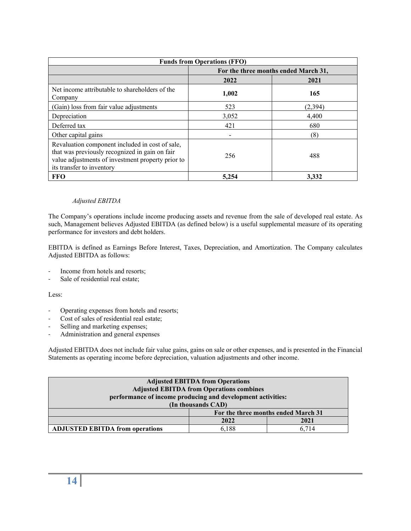| <b>Funds from Operations (FFO)</b>                                                                                                                                                  |                                      |          |  |
|-------------------------------------------------------------------------------------------------------------------------------------------------------------------------------------|--------------------------------------|----------|--|
|                                                                                                                                                                                     | For the three months ended March 31, |          |  |
|                                                                                                                                                                                     | 2022                                 | 2021     |  |
| Net income attributable to shareholders of the<br>Company                                                                                                                           | 1,002                                | 165      |  |
| (Gain) loss from fair value adjustments                                                                                                                                             | 523                                  | (2, 394) |  |
| Depreciation                                                                                                                                                                        | 3,052                                | 4,400    |  |
| Deferred tax                                                                                                                                                                        | 421                                  | 680      |  |
| Other capital gains                                                                                                                                                                 |                                      | (8)      |  |
| Revaluation component included in cost of sale,<br>that was previously recognized in gain on fair<br>value adjustments of investment property prior to<br>its transfer to inventory | 256                                  | 488      |  |
| <b>FFO</b>                                                                                                                                                                          | 5,254                                | 3.332    |  |

#### *Adjusted EBITDA*

The Company's operations include income producing assets and revenue from the sale of developed real estate. As such, Management believes Adjusted EBITDA (as defined below) is a useful supplemental measure of its operating performance for investors and debt holders.

EBITDA is defined as Earnings Before Interest, Taxes, Depreciation, and Amortization. The Company calculates Adjusted EBITDA as follows:

- Income from hotels and resorts;
- Sale of residential real estate;

Less:

- Operating expenses from hotels and resorts;
- Cost of sales of residential real estate;
- Selling and marketing expenses;
- Administration and general expenses

Adjusted EBITDA does not include fair value gains, gains on sale or other expenses, and is presented in the Financial Statements as operating income before depreciation, valuation adjustments and other income.

| <b>Adjusted EBITDA from Operations</b>                      |                    |                                     |  |  |
|-------------------------------------------------------------|--------------------|-------------------------------------|--|--|
| <b>Adjusted EBITDA from Operations combines</b>             |                    |                                     |  |  |
| performance of income producing and development activities: |                    |                                     |  |  |
|                                                             | (In thousands CAD) |                                     |  |  |
|                                                             |                    | For the three months ended March 31 |  |  |
| 2021<br>2022                                                |                    |                                     |  |  |
| <b>ADJUSTED EBITDA from operations</b>                      | 6.188              | 6.714                               |  |  |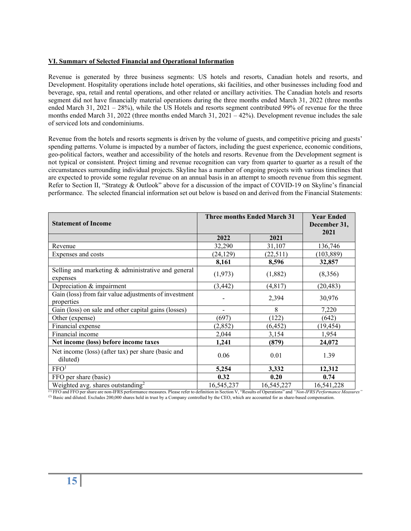#### **VI. Summary of Selected Financial and Operational Information**

Revenue is generated by three business segments: US hotels and resorts, Canadian hotels and resorts, and Development. Hospitality operations include hotel operations, ski facilities, and other businesses including food and beverage, spa, retail and rental operations, and other related or ancillary activities. The Canadian hotels and resorts segment did not have financially material operations during the three months ended March 31, 2022 (three months ended March 31, 2021 – 28%), while the US Hotels and resorts segment contributed 99% of revenue for the three months ended March 31, 2022 (three months ended March 31, 2021 – 42%). Development revenue includes the sale of serviced lots and condominiums.

Revenue from the hotels and resorts segments is driven by the volume of guests, and competitive pricing and guests' spending patterns. Volume is impacted by a number of factors, including the guest experience, economic conditions, geo-political factors, weather and accessibility of the hotels and resorts. Revenue from the Development segment is not typical or consistent. Project timing and revenue recognition can vary from quarter to quarter as a result of the circumstances surrounding individual projects. Skyline has a number of ongoing projects with various timelines that are expected to provide some regular revenue on an annual basis in an attempt to smooth revenue from this segment. Refer to Section II, "Strategy & Outlook" above for a discussion of the impact of COVID-19 on Skyline's financial performance. The selected financial information set out below is based on and derived from the Financial Statements:

| <b>Statement of Income</b>                                          | <b>Three months Ended March 31</b> | <b>Year Ended</b><br>December 31,<br>2021 |            |
|---------------------------------------------------------------------|------------------------------------|-------------------------------------------|------------|
|                                                                     | 2022                               | 2021                                      |            |
| Revenue                                                             | 32,290                             | 31,107                                    | 136,746    |
| Expenses and costs                                                  | (24, 129)                          | (22,511)                                  | (103, 889) |
|                                                                     | 8,161                              | 8,596                                     | 32,857     |
| Selling and marketing & administrative and general<br>expenses      | (1, 973)                           | (1,882)                                   | (8,356)    |
| Depreciation & impairment                                           | (3, 442)                           | (4,817)                                   | (20, 483)  |
| Gain (loss) from fair value adjustments of investment<br>properties |                                    | 2,394                                     | 30,976     |
| Gain (loss) on sale and other capital gains (losses)                |                                    | 8                                         | 7,220      |
| Other (expense)                                                     | (697)                              | (122)                                     | (642)      |
| Financial expense                                                   | (2,852)                            | (6, 452)                                  | (19, 454)  |
| Financial income                                                    | 2,044                              | 3,154                                     | 1,954      |
| Net income (loss) before income taxes                               | 1,241                              | (879)                                     | 24,072     |
| Net income (loss) (after tax) per share (basic and<br>diluted)      | 0.06                               | 0.01                                      | 1.39       |
| FFO <sup>1</sup>                                                    | 5,254                              | 3,332                                     | 12,312     |
| FFO per share (basic)                                               | 0.32                               | 0.20                                      | 0.74       |
| Weighted avg. shares outstanding <sup>2</sup>                       | 16,545,237                         | 16,545,227                                | 16,541,228 |

(1) FFO and FFO per share are non-IFRS performance measures. Please refer to definition in Section V, "Results of Operations" and *"Non-IFRS Performance Measures"* (2) Basic and diluted. Excludes 200,000 shares held in trust by a Company controlled by the CEO, which are accounted for as share-based compensation.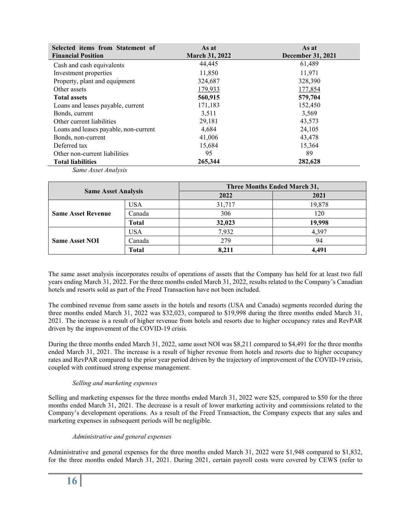| Selected items from Statement of<br><b>Financial Position</b> | As at<br><b>March 31, 2022</b> | As at<br>December 31, 2021 |
|---------------------------------------------------------------|--------------------------------|----------------------------|
| Cash and cash equivalents                                     | 44,445                         | 61,489                     |
| Investment properties                                         | 11,850                         | 11,971                     |
| Property, plant and equipment                                 | 324,687                        | 328,390                    |
| Other assets                                                  | 179,933                        | 177,854                    |
| <b>Total assets</b>                                           | 560,915                        | 579,704                    |
| Loans and leases payable, current                             | 171,183                        | 152,450                    |
| Bonds, current                                                | 3,511                          | 3,569                      |
| Other current liabilities                                     | 29,181                         | 43,573                     |
| Loans and leases payable, non-current                         | 4,684                          | 24,105                     |
| Bonds, non-current                                            | 41,006                         | 43,478                     |
| Deferred tax                                                  | 15,684                         | 15,364                     |
| Other non-current liabilities                                 | 95                             | 89                         |
| <b>Total liabilities</b>                                      | 265,344                        | 282,628                    |

*Same Asset Analysis*

| <b>Same Asset Analysis</b> |              | <b>Three Months Ended March 31,</b> |        |  |
|----------------------------|--------------|-------------------------------------|--------|--|
|                            |              | 2022                                | 2021   |  |
|                            | <b>USA</b>   | 31,717                              | 19,878 |  |
| <b>Same Asset Revenue</b>  | Canada       | 306                                 | 120    |  |
|                            | <b>Total</b> | 32,023                              | 19,998 |  |
|                            | <b>USA</b>   | 7,932                               | 4.397  |  |
| <b>Same Asset NOI</b>      | Canada       | 279                                 | 94     |  |
|                            | <b>Total</b> | 8,211                               | 4.491  |  |

The same asset analysis incorporates results of operations of assets that the Company has held for at least two full years ending March 31, 2022. For the three months ended March 31, 2022, results related to the Company's Canadian hotels and resorts sold as part of the Freed Transaction have not been included.

The combined revenue from same assets in the hotels and resorts (USA and Canada) segments recorded during the three months ended March 31, 2022 was \$32,023, compared to \$19,998 during the three months ended March 31, 2021. The increase is a result of higher revenue from hotels and resorts due to higher occupancy rates and RevPAR driven by the improvement of the COVID-19 crisis.

During the three months ended March 31, 2022, same asset NOI was \$8,211 compared to \$4,491 for the three months ended March 31, 2021. The increase is a result of higher revenue from hotels and resorts due to higher occupancy rates and RevPAR compared to the prior year period driven by the trajectory of improvement of the COVID-19 crisis, coupled with continued strong expense management.

#### *Selling and marketing expenses*

Selling and marketing expenses for the three months ended March 31, 2022 were \$25, compared to \$50 for the three months ended March 31, 2021. The decrease is a result of lower marketing activity and commissions related to the Company's development operations. As a result of the Freed Transaction, the Company expects that any sales and marketing expenses in subsequent periods will be negligible.

#### *Administrative and general expenses*

Administrative and general expenses for the three months ended March 31, 2022 were \$1,948 compared to \$1,832, for the three months ended March 31, 2021. During 2021, certain payroll costs were covered by CEWS (refer to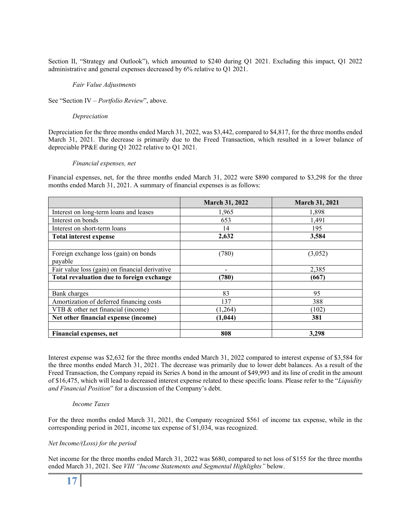Section II, "Strategy and Outlook"), which amounted to \$240 during Q1 2021. Excluding this impact, Q1 2022 administrative and general expenses decreased by 6% relative to Q1 2021.

#### *Fair Value Adjustments*

See "Section IV – *Portfolio Review*", above.

#### *Depreciation*

Depreciation for the three months ended March 31, 2022, was \$3,442, compared to \$4,817, for the three months ended March 31, 2021. The decrease is primarily due to the Freed Transaction, which resulted in a lower balance of depreciable PP&E during Q1 2022 relative to Q1 2021.

#### *Financial expenses, net*

Financial expenses, net, for the three months ended March 31, 2022 were \$890 compared to \$3,298 for the three months ended March 31, 2021. A summary of financial expenses is as follows:

|                                                  | <b>March 31, 2022</b> | <b>March 31, 2021</b> |
|--------------------------------------------------|-----------------------|-----------------------|
| Interest on long-term loans and leases           | 1,965                 | 1,898                 |
| Interest on bonds                                | 653                   | 1,491                 |
| Interest on short-term loans                     | 14                    | 195                   |
| <b>Total interest expense</b>                    | 2,632                 | 3,584                 |
|                                                  |                       |                       |
| Foreign exchange loss (gain) on bonds<br>payable | (780)                 | (3,052)               |
| Fair value loss (gain) on financial derivative   |                       | 2,385                 |
| Total revaluation due to foreign exchange        | (780)                 | (667)                 |
|                                                  |                       |                       |
| Bank charges                                     | 83                    | 95                    |
| Amortization of deferred financing costs         | 137                   | 388                   |
| VTB & other net financial (income)               | (1,264)               | (102)                 |
| Net other financial expense (income)             | (1, 044)              | 381                   |
|                                                  |                       |                       |
| Financial expenses, net                          | 808                   | 3,298                 |

Interest expense was \$2,632 for the three months ended March 31, 2022 compared to interest expense of \$3,584 for the three months ended March 31, 2021. The decrease was primarily due to lower debt balances. As a result of the Freed Transaction, the Company repaid its Series A bond in the amount of \$49,993 and its line of credit in the amount of \$16,475, which will lead to decreased interest expense related to these specific loans. Please refer to the "*Liquidity and Financial Position*" for a discussion of the Company's debt.

#### *Income Taxes*

For the three months ended March 31, 2021, the Company recognized \$561 of income tax expense, while in the corresponding period in 2021, income tax expense of \$1,034, was recognized.

#### *Net Income/(Loss) for the period*

Net income for the three months ended March 31, 2022 was \$680, compared to net loss of \$155 for the three months ended March 31, 2021. See *VIII "Income Statements and Segmental Highlights"* below.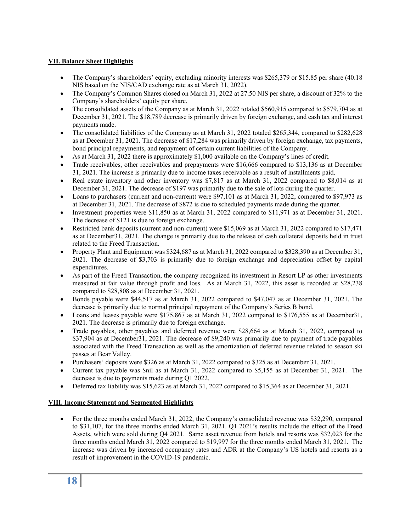## **VII. Balance Sheet Highlights**

- The Company's shareholders' equity, excluding minority interests was \$265,379 or \$15.85 per share (40.18 NIS based on the NIS/CAD exchange rate as at March 31, 2022).
- The Company's Common Shares closed on March 31, 2022 at 27.50 NIS per share, a discount of 32% to the Company's shareholders' equity per share.
- The consolidated assets of the Company as at March 31, 2022 totaled \$560,915 compared to \$579,704 as at December 31, 2021. The \$18,789 decrease is primarily driven by foreign exchange, and cash tax and interest payments made.
- The consolidated liabilities of the Company as at March 31, 2022 totaled \$265,344, compared to \$282,628 as at December 31, 2021. The decrease of \$17,284 was primarily driven by foreign exchange, tax payments, bond principal repayments, and repayment of certain current liabilities of the Company.
- As at March 31, 2022 there is approximately \$1,000 available on the Company's lines of credit.
- Trade receivables, other receivables and prepayments were \$16,666 compared to \$13,136 as at December 31, 2021. The increase is primarily due to income taxes receivable as a result of installments paid.
- Real estate inventory and other inventory was \$7,817 as at March 31, 2022 compared to \$8,014 as at December 31, 2021. The decrease of \$197 was primarily due to the sale of lots during the quarter.
- Loans to purchasers (current and non-current) were \$97,101 as at March 31, 2022, compared to \$97,973 as at December 31, 2021. The decrease of \$872 is due to scheduled payments made during the quarter.
- Investment properties were \$11,850 as at March 31, 2022 compared to \$11,971 as at December 31, 2021. The decrease of \$121 is due to foreign exchange.
- Restricted bank deposits (current and non-current) were \$15,069 as at March 31, 2022 compared to \$17,471 as at December31, 2021. The change is primarily due to the release of cash collateral deposits held in trust related to the Freed Transaction.
- Property Plant and Equipment was \$324,687 as at March 31, 2022 compared to \$328,390 as at December 31, 2021. The decrease of \$3,703 is primarily due to foreign exchange and depreciation offset by capital expenditures.
- As part of the Freed Transaction, the company recognized its investment in Resort LP as other investments measured at fair value through profit and loss. As at March 31, 2022, this asset is recorded at \$28,238 compared to \$28,808 as at December 31, 2021.
- Bonds payable were \$44,517 as at March 31, 2022 compared to \$47,047 as at December 31, 2021. The decrease is primarily due to normal principal repayment of the Company's Series B bond.
- Loans and leases payable were \$175,867 as at March 31, 2022 compared to \$176,555 as at December31, 2021. The decrease is primarily due to foreign exchange.
- Trade payables, other payables and deferred revenue were \$28,664 as at March 31, 2022, compared to \$37,904 as at December31, 2021. The decrease of \$9,240 was primarily due to payment of trade payables associated with the Freed Transaction as well as the amortization of deferred revenue related to season ski passes at Bear Valley.
- Purchasers' deposits were \$326 as at March 31, 2022 compared to \$325 as at December 31, 2021.
- Current tax payable was \$nil as at March 31, 2022 compared to \$5,155 as at December 31, 2021. The decrease is due to payments made during Q1 2022.
- Deferred tax liability was \$15,623 as at March 31, 2022 compared to \$15,364 as at December 31, 2021.

#### **VIII. Income Statement and Segmented Highlights**

• For the three months ended March 31, 2022, the Company's consolidated revenue was \$32,290, compared to \$31,107, for the three months ended March 31, 2021. Q1 2021's results include the effect of the Freed Assets, which were sold during Q4 2021. Same asset revenue from hotels and resorts was \$32,023 for the three months ended March 31, 2022 compared to \$19,997 for the three months ended March 31, 2021. The increase was driven by increased occupancy rates and ADR at the Company's US hotels and resorts as a result of improvement in the COVID-19 pandemic.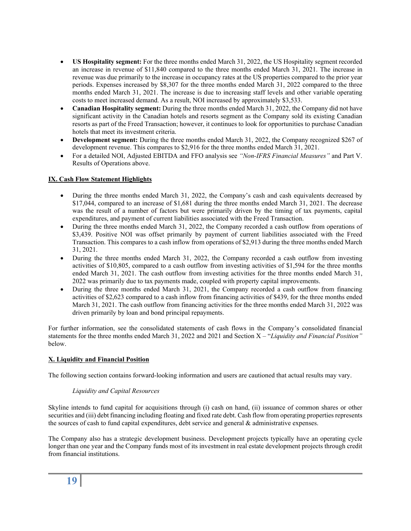- **US Hospitality segment:** For the three months ended March 31, 2022, the US Hospitality segment recorded an increase in revenue of \$11,840 compared to the three months ended March 31, 2021. The increase in revenue was due primarily to the increase in occupancy rates at the US properties compared to the prior year periods. Expenses increased by \$8,307 for the three months ended March 31, 2022 compared to the three months ended March 31, 2021. The increase is due to increasing staff levels and other variable operating costs to meet increased demand. As a result, NOI increased by approximately \$3,533.
- **Canadian Hospitality segment:** During the three months ended March 31, 2022, the Company did not have significant activity in the Canadian hotels and resorts segment as the Company sold its existing Canadian resorts as part of the Freed Transaction; however, it continues to look for opportunities to purchase Canadian hotels that meet its investment criteria.
- **Development segment:** During the three months ended March 31, 2022, the Company recognized \$267 of development revenue. This compares to \$2,916 for the three months ended March 31, 2021.
- For a detailed NOI, Adjusted EBITDA and FFO analysis see *"Non-IFRS Financial Measures"* and Part V. Results of Operations above.

#### **IX. Cash Flow Statement Highlights**

- During the three months ended March 31, 2022, the Company's cash and cash equivalents decreased by \$17,044, compared to an increase of \$1,681 during the three months ended March 31, 2021. The decrease was the result of a number of factors but were primarily driven by the timing of tax payments, capital expenditures, and payment of current liabilities associated with the Freed Transaction.
- During the three months ended March 31, 2022, the Company recorded a cash outflow from operations of \$3,439. Positive NOI was offset primarily by payment of current liabilities associated with the Freed Transaction. This compares to a cash inflow from operations of \$2,913 during the three months ended March 31, 2021.
- During the three months ended March 31, 2022, the Company recorded a cash outflow from investing activities of \$10,805, compared to a cash outflow from investing activities of \$1,594 for the three months ended March 31, 2021. The cash outflow from investing activities for the three months ended March 31, 2022 was primarily due to tax payments made, coupled with property capital improvements.
- During the three months ended March 31, 2021, the Company recorded a cash outflow from financing activities of \$2,623 compared to a cash inflow from financing activities of \$439, for the three months ended March 31, 2021. The cash outflow from financing activities for the three months ended March 31, 2022 was driven primarily by loan and bond principal repayments.

For further information, see the consolidated statements of cash flows in the Company's consolidated financial statements for the three months ended March 31, 2022 and 2021 and Section X – "*Liquidity and Financial Position"* below.

#### **X. Liquidity and Financial Position**

The following section contains forward-looking information and users are cautioned that actual results may vary.

#### *Liquidity and Capital Resources*

Skyline intends to fund capital for acquisitions through (i) cash on hand, (ii) issuance of common shares or other securities and (iii) debt financing including floating and fixed rate debt. Cash flow from operating properties represents the sources of cash to fund capital expenditures, debt service and general & administrative expenses.

The Company also has a strategic development business. Development projects typically have an operating cycle longer than one year and the Company funds most of its investment in real estate development projects through credit from financial institutions.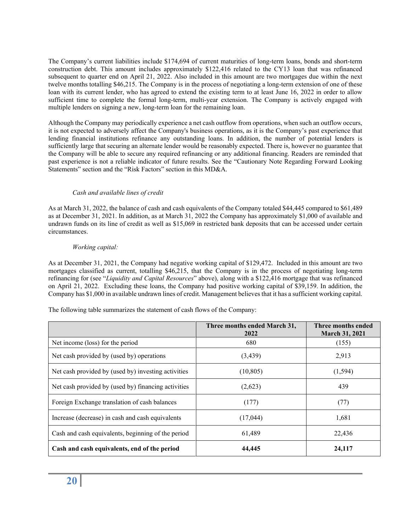The Company's current liabilities include \$174,694 of current maturities of long-term loans, bonds and short-term construction debt. This amount includes approximately \$122,416 related to the CY13 loan that was refinanced subsequent to quarter end on April 21, 2022. Also included in this amount are two mortgages due within the next twelve months totalling \$46,215. The Company is in the process of negotiating a long-term extension of one of these loan with its current lender, who has agreed to extend the existing term to at least June 16, 2022 in order to allow sufficient time to complete the formal long-term, multi-year extension. The Company is actively engaged with multiple lenders on signing a new, long-term loan for the remaining loan.

Although the Company may periodically experience a net cash outflow from operations, when such an outflow occurs, it is not expected to adversely affect the Company's business operations, as it is the Company's past experience that lending financial institutions refinance any outstanding loans. In addition, the number of potential lenders is sufficiently large that securing an alternate lender would be reasonably expected. There is, however no guarantee that the Company will be able to secure any required refinancing or any additional financing. Readers are reminded that past experience is not a reliable indicator of future results. See the "Cautionary Note Regarding Forward Looking Statements" section and the "Risk Factors" section in this MD&A.

#### *Cash and available lines of credit*

As at March 31, 2022, the balance of cash and cash equivalents of the Company totaled \$44,445 compared to \$61,489 as at December 31, 2021. In addition, as at March 31, 2022 the Company has approximately \$1,000 of available and undrawn funds on its line of credit as well as \$15,069 in restricted bank deposits that can be accessed under certain circumstances.

#### *Working capital:*

As at December 31, 2021, the Company had negative working capital of \$129,472. Included in this amount are two mortgages classified as current, totalling \$46,215, that the Company is in the process of negotiating long-term refinancing for (see "*Liquidity and Capital Resources*" above), along with a \$122,416 mortgage that was refinanced on April 21, 2022. Excluding these loans, the Company had positive working capital of \$39,159. In addition, the Company has \$1,000 in available undrawn lines of credit. Management believes that it has a sufficient working capital.

The following table summarizes the statement of cash flows of the Company:

|                                                     | Three months ended March 31,<br>2022 | Three months ended<br><b>March 31, 2021</b> |
|-----------------------------------------------------|--------------------------------------|---------------------------------------------|
| Net income (loss) for the period                    | 680                                  | (155)                                       |
| Net cash provided by (used by) operations           | (3,439)                              | 2,913                                       |
| Net cash provided by (used by) investing activities | (10, 805)                            | (1, 594)                                    |
| Net cash provided by (used by) financing activities | (2,623)                              | 439                                         |
| Foreign Exchange translation of cash balances       | (177)                                | (77)                                        |
| Increase (decrease) in cash and cash equivalents    | (17,044)                             | 1,681                                       |
| Cash and cash equivalents, beginning of the period  | 61,489                               | 22,436                                      |
| Cash and cash equivalents, end of the period        | 44,445                               | 24,117                                      |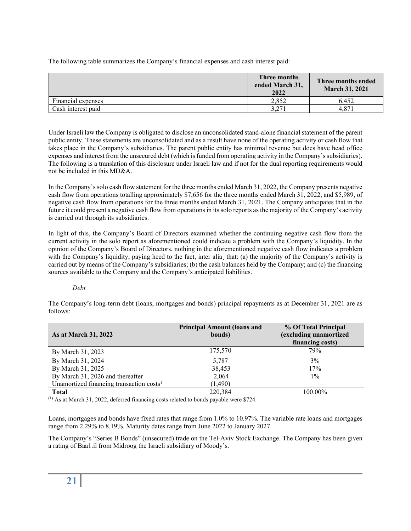The following table summarizes the Company's financial expenses and cash interest paid:

|                    | Three months<br>ended March 31,<br>2022 | Three months ended<br><b>March 31, 2021</b> |
|--------------------|-----------------------------------------|---------------------------------------------|
| Financial expenses | 2.852                                   | 6.452                                       |
| Cash interest paid | 3.271                                   | 4.871                                       |

Under Israeli law the Company is obligated to disclose an unconsolidated stand-alone financial statement of the parent public entity. These statements are unconsolidated and as a result have none of the operating activity or cash flow that takes place in the Company's subsidiaries. The parent public entity has minimal revenue but does have head office expenses and interest from the unsecured debt (which is funded from operating activity in the Company's subsidiaries). The following is a translation of this disclosure under Israeli law and if not for the dual reporting requirements would not be included in this MD&A.

In the Company's solo cash flow statement for the three months ended March 31, 2022, the Company presents negative cash flow from operations totalling approximately \$7,656 for the three months ended March 31, 2022, and \$5,989, of negative cash flow from operations for the three months ended March 31, 2021. The Company anticipates that in the future it could present a negative cash flow from operations in its solo reports as the majority of the Company's activity is carried out through its subsidiaries.

In light of this, the Company's Board of Directors examined whether the continuing negative cash flow from the current activity in the solo report as aforementioned could indicate a problem with the Company's liquidity. In the opinion of the Company's Board of Directors, nothing in the aforementioned negative cash flow indicates a problem with the Company's liquidity, paying heed to the fact, inter alia, that: (a) the majority of the Company's activity is carried out by means of the Company's subsidiaries; (b) the cash balances held by the Company; and (c) the financing sources available to the Company and the Company's anticipated liabilities.

#### *Debt*

The Company's long-term debt (loans, mortgages and bonds) principal repayments as at December 31, 2021 are as follows:

| <b>As at March 31, 2022</b>                          | <b>Principal Amount (loans and</b><br>bonds) | % Of Total Principal<br>(excluding unamortized<br>financing costs) |
|------------------------------------------------------|----------------------------------------------|--------------------------------------------------------------------|
| By March 31, 2023                                    | 175,570                                      | 79%                                                                |
| By March 31, 2024                                    | 5,787                                        | 3%                                                                 |
| By March 31, 2025                                    | 38,453                                       | 17%                                                                |
| By March 31, 2026 and thereafter                     | 2,064                                        | $1\%$                                                              |
| Unamortized financing transaction costs <sup>1</sup> | (1,490)                                      |                                                                    |
| <b>Total</b>                                         | 220,384                                      | 100.00%                                                            |

 $\overline{^{(1)}}$  As at March 31, 2022, deferred financing costs related to bonds payable were \$724.

Loans, mortgages and bonds have fixed rates that range from 1.0% to 10.97%. The variable rate loans and mortgages range from 2.29% to 8.19%. Maturity dates range from June 2022 to January 2027.

The Company's "Series B Bonds" (unsecured) trade on the Tel-Aviv Stock Exchange. The Company has been given a rating of Baa1.il from Midroog the Israeli subsidiary of Moody's.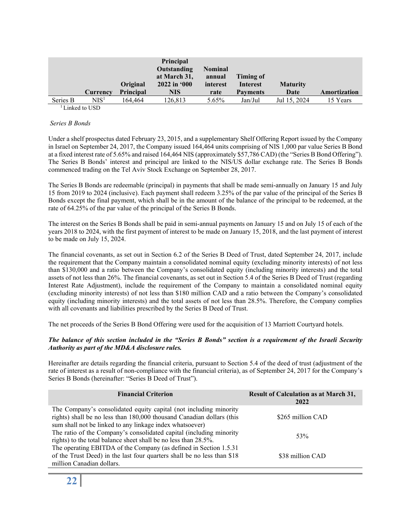|          |                  | Original         | <b>Principal</b><br>Outstanding<br>at March 31,<br>$2022$ in $000$ | <b>Nominal</b><br>annual<br>interest | Timing of<br><b>Interest</b> | <b>Maturity</b> |              |
|----------|------------------|------------------|--------------------------------------------------------------------|--------------------------------------|------------------------------|-----------------|--------------|
|          | Currency         | <b>Principal</b> | <b>NIS</b>                                                         | rate                                 | <b>Payments</b>              | Date            | Amortization |
| Series B | NIS <sup>1</sup> | 164.464          | 126.813                                                            | 5.65%                                | Jan/Jul                      | Jul 15, 2024    | 15 Years     |
|          | Linked to USD    |                  |                                                                    |                                      |                              |                 |              |

#### *Series B Bonds*

Under a shelf prospectus dated February 23, 2015, and a supplementary Shelf Offering Report issued by the Company in Israel on September 24, 2017, the Company issued 164,464 units comprising of NIS 1,000 par value Series B Bond at a fixed interest rate of 5.65% and raised 164,464 NIS (approximately \$57,786 CAD) (the "Series B Bond Offering"). The Series B Bonds' interest and principal are linked to the NIS/US dollar exchange rate. The Series B Bonds commenced trading on the Tel Aviv Stock Exchange on September 28, 2017.

The Series B Bonds are redeemable (principal) in payments that shall be made semi-annually on January 15 and July 15 from 2019 to 2024 (inclusive). Each payment shall redeem 3.25% of the par value of the principal of the Series B Bonds except the final payment, which shall be in the amount of the balance of the principal to be redeemed, at the rate of 64.25% of the par value of the principal of the Series B Bonds.

The interest on the Series B Bonds shall be paid in semi-annual payments on January 15 and on July 15 of each of the years 2018 to 2024, with the first payment of interest to be made on January 15, 2018, and the last payment of interest to be made on July 15, 2024.

The financial covenants, as set out in Section 6.2 of the Series B Deed of Trust, dated September 24, 2017, include the requirement that the Company maintain a consolidated nominal equity (excluding minority interests) of not less than \$130,000 and a ratio between the Company's consolidated equity (including minority interests) and the total assets of not less than 26%. The financial covenants, as set out in Section 5.4 of the Series B Deed of Trust (regarding Interest Rate Adjustment), include the requirement of the Company to maintain a consolidated nominal equity (excluding minority interests) of not less than \$180 million CAD and a ratio between the Company's consolidated equity (including minority interests) and the total assets of not less than 28.5%. Therefore, the Company complies with all covenants and liabilities prescribed by the Series B Deed of Trust.

The net proceeds of the Series B Bond Offering were used for the acquisition of 13 Marriott Courtyard hotels.

#### *The balance of this section included in the "Series B Bonds" section is a requirement of the Israeli Security Authority as part of the MD&A disclosure rules.*

Hereinafter are details regarding the financial criteria, pursuant to Section 5.4 of the deed of trust (adjustment of the rate of interest as a result of non-compliance with the financial criteria), as of September 24, 2017 for the Company's Series B Bonds (hereinafter: "Series B Deed of Trust").

| <b>Financial Criterion</b>                                                                                                                                                                             | <b>Result of Calculation as at March 31,</b><br>2022 |
|--------------------------------------------------------------------------------------------------------------------------------------------------------------------------------------------------------|------------------------------------------------------|
| The Company's consolidated equity capital (not including minority<br>rights) shall be no less than 180,000 thousand Canadian dollars (this<br>sum shall not be linked to any linkage index whatsoever) | \$265 million CAD                                    |
| The ratio of the Company's consolidated capital (including minority<br>rights) to the total balance sheet shall be no less than 28.5%.                                                                 | 53%                                                  |
| The operating EBITDA of the Company (as defined in Section 1.5.31)<br>of the Trust Deed) in the last four quarters shall be no less than \$18<br>million Canadian dollars.                             | \$38 million CAD                                     |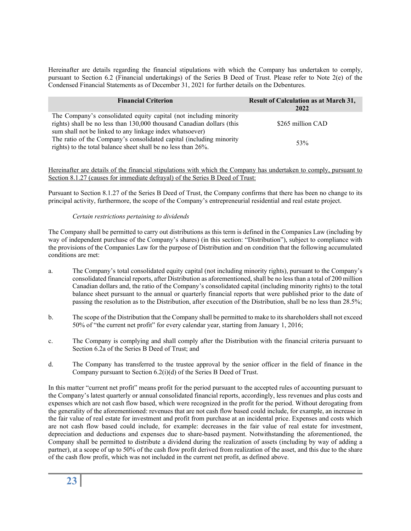Hereinafter are details regarding the financial stipulations with which the Company has undertaken to comply, pursuant to Section 6.2 (Financial undertakings) of the Series B Deed of Trust. Please refer to Note 2(e) of the Condensed Financial Statements as of December 31, 2021 for further details on the Debentures.

| <b>Financial Criterion</b>                                            | <b>Result of Calculation as at March 31,</b><br>2022 |  |
|-----------------------------------------------------------------------|------------------------------------------------------|--|
| The Company's consolidated equity capital (not including minority     |                                                      |  |
| rights) shall be no less than 130,000 thousand Canadian dollars (this | \$265 million CAD                                    |  |
| sum shall not be linked to any linkage index whatsoever)              |                                                      |  |
| The ratio of the Company's consolidated capital (including minority   | 53%                                                  |  |
| rights) to the total balance sheet shall be no less than 26%.         |                                                      |  |

Hereinafter are details of the financial stipulations with which the Company has undertaken to comply, pursuant to Section 8.1.27 (causes for immediate defrayal) of the Series B Deed of Trust:

Pursuant to Section 8.1.27 of the Series B Deed of Trust, the Company confirms that there has been no change to its principal activity, furthermore, the scope of the Company's entrepreneurial residential and real estate project.

#### *Certain restrictions pertaining to dividends*

The Company shall be permitted to carry out distributions as this term is defined in the Companies Law (including by way of independent purchase of the Company's shares) (in this section: "Distribution"), subject to compliance with the provisions of the Companies Law for the purpose of Distribution and on condition that the following accumulated conditions are met:

- a. The Company's total consolidated equity capital (not including minority rights), pursuant to the Company's consolidated financial reports, after Distribution as aforementioned, shall be no less than a total of 200 million Canadian dollars and, the ratio of the Company's consolidated capital (including minority rights) to the total balance sheet pursuant to the annual or quarterly financial reports that were published prior to the date of passing the resolution as to the Distribution, after execution of the Distribution, shall be no less than 28.5%;
- b. The scope of the Distribution that the Company shall be permitted to make to its shareholders shall not exceed 50% of "the current net profit" for every calendar year, starting from January 1, 2016;
- c. The Company is complying and shall comply after the Distribution with the financial criteria pursuant to Section 6.2a of the Series B Deed of Trust; and
- d. The Company has transferred to the trustee approval by the senior officer in the field of finance in the Company pursuant to Section 6.2(i)(d) of the Series B Deed of Trust.

In this matter "current net profit" means profit for the period pursuant to the accepted rules of accounting pursuant to the Company's latest quarterly or annual consolidated financial reports, accordingly, less revenues and plus costs and expenses which are not cash flow based, which were recognized in the profit for the period. Without derogating from the generality of the aforementioned: revenues that are not cash flow based could include, for example, an increase in the fair value of real estate for investment and profit from purchase at an incidental price. Expenses and costs which are not cash flow based could include, for example: decreases in the fair value of real estate for investment, depreciation and deductions and expenses due to share-based payment. Notwithstanding the aforementioned, the Company shall be permitted to distribute a dividend during the realization of assets (including by way of adding a partner), at a scope of up to 50% of the cash flow profit derived from realization of the asset, and this due to the share of the cash flow profit, which was not included in the current net profit, as defined above.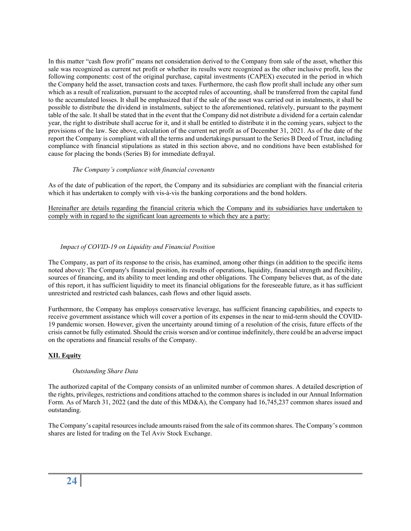In this matter "cash flow profit" means net consideration derived to the Company from sale of the asset, whether this sale was recognized as current net profit or whether its results were recognized as the other inclusive profit, less the following components: cost of the original purchase, capital investments (CAPEX) executed in the period in which the Company held the asset, transaction costs and taxes. Furthermore, the cash flow profit shall include any other sum which as a result of realization, pursuant to the accepted rules of accounting, shall be transferred from the capital fund to the accumulated losses. It shall be emphasized that if the sale of the asset was carried out in instalments, it shall be possible to distribute the dividend in instalments, subject to the aforementioned, relatively, pursuant to the payment table of the sale. It shall be stated that in the event that the Company did not distribute a dividend for a certain calendar year, the right to distribute shall accrue for it, and it shall be entitled to distribute it in the coming years, subject to the provisions of the law. See above, calculation of the current net profit as of December 31, 2021. As of the date of the report the Company is compliant with all the terms and undertakings pursuant to the Series B Deed of Trust, including compliance with financial stipulations as stated in this section above, and no conditions have been established for cause for placing the bonds (Series B) for immediate defrayal.

#### *The Company's compliance with financial covenants*

As of the date of publication of the report, the Company and its subsidiaries are compliant with the financial criteria which it has undertaken to comply with vis-à-vis the banking corporations and the bond holders.

Hereinafter are details regarding the financial criteria which the Company and its subsidiaries have undertaken to comply with in regard to the significant loan agreements to which they are a party:

#### *Impact of COVID-19 on Liquidity and Financial Position*

The Company, as part of its response to the crisis, has examined, among other things (in addition to the specific items noted above): The Company's financial position, its results of operations, liquidity, financial strength and flexibility, sources of financing, and its ability to meet lending and other obligations. The Company believes that, as of the date of this report, it has sufficient liquidity to meet its financial obligations for the foreseeable future, as it has sufficient unrestricted and restricted cash balances, cash flows and other liquid assets.

Furthermore, the Company has employs conservative leverage, has sufficient financing capabilities, and expects to receive government assistance which will cover a portion of its expenses in the near to mid-term should the COVID-19 pandemic worsen. However, given the uncertainty around timing of a resolution of the crisis, future effects of the crisis cannot be fully estimated. Should the crisis worsen and/or continue indefinitely, there could be an adverse impact on the operations and financial results of the Company.

#### **XII. Equity**

#### *Outstanding Share Data*

The authorized capital of the Company consists of an unlimited number of common shares. A detailed description of the rights, privileges, restrictions and conditions attached to the common shares is included in our Annual Information Form. As of March 31, 2022 (and the date of this MD&A), the Company had 16,745,237 common shares issued and outstanding.

The Company's capital resources include amounts raised from the sale of its common shares. The Company's common shares are listed for trading on the Tel Aviv Stock Exchange.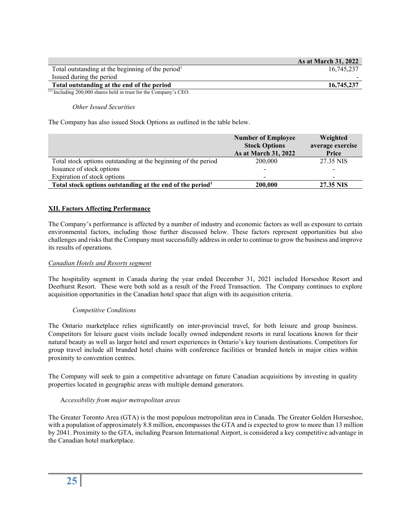|                                                               | <b>As at March 31, 2022</b> |
|---------------------------------------------------------------|-----------------------------|
| Total outstanding at the beginning of the period <sup>1</sup> | 16.745.237                  |
| Issued during the period                                      | -                           |
| Total outstanding at the end of the period                    | 16,745,237                  |

(1) Including 200,000 shares held in trust for the Company's CEO.

#### *Other Issued Securities*

The Company has also issued Stock Options as outlined in the table below.

|                                                                       | <b>Number of Employee</b><br><b>Stock Options</b><br>As at March 31, 2022 | Weighted<br>average exercise<br>Price |
|-----------------------------------------------------------------------|---------------------------------------------------------------------------|---------------------------------------|
| Total stock options outstanding at the beginning of the period        | 200,000                                                                   | 27.35 NIS                             |
| Issuance of stock options                                             |                                                                           |                                       |
| Expiration of stock options                                           |                                                                           |                                       |
| Total stock options outstanding at the end of the period <sup>1</sup> | 200,000                                                                   | 27.35 NIS                             |

#### **XII. Factors Affecting Performance**

The Company's performance is affected by a number of industry and economic factors as well as exposure to certain environmental factors, including those further discussed below. These factors represent opportunities but also challenges and risks that the Company must successfully address in order to continue to grow the business and improve its results of operations.

#### *Canadian Hotels and Resorts segment*

The hospitality segment in Canada during the year ended December 31, 2021 included Horseshoe Resort and Deerhurst Resort. These were both sold as a result of the Freed Transaction. The Company continues to explore acquisition opportunities in the Canadian hotel space that align with its acquisition criteria.

#### *Competitive Conditions*

The Ontario marketplace relies significantly on inter-provincial travel, for both leisure and group business. Competitors for leisure guest visits include locally owned independent resorts in rural locations known for their natural beauty as well as larger hotel and resort experiences in Ontario's key tourism destinations. Competitors for group travel include all branded hotel chains with conference facilities or branded hotels in major cities within proximity to convention centres.

The Company will seek to gain a competitive advantage on future Canadian acquisitions by investing in quality properties located in geographic areas with multiple demand generators.

#### A*ccessibility from major metropolitan areas*

The Greater Toronto Area (GTA) is the most populous metropolitan area in Canada. The Greater Golden Horseshoe, with a population of approximately 8.8 million, encompasses the GTA and is expected to grow to more than 13 million by 2041. Proximity to the GTA, including Pearson International Airport, is considered a key competitive advantage in the Canadian hotel marketplace.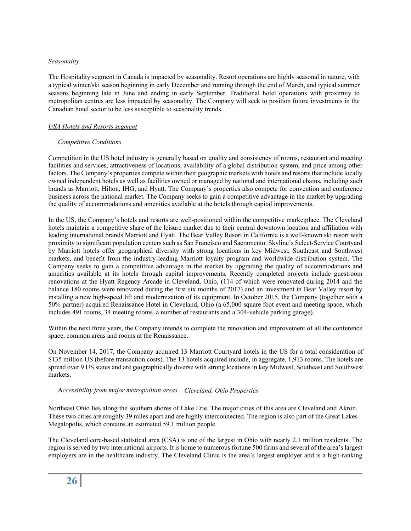#### *Seasonality*

The Hospitality segment in Canada is impacted by seasonality. Resort operations are highly seasonal in nature, with a typical winter/ski season beginning in early December and running through the end of March, and typical summer seasons beginning late in June and ending in early September. Traditional hotel operations with proximity to metropolitan centres are less impacted by seasonality. The Company will seek to position future investments in the Canadian hotel sector to be less susceptible to seasonality trends.

#### *USA Hotels and Resorts segment*

#### *Competitive Conditions*

Competition in the US hotel industry is generally based on quality and consistency of rooms, restaurant and meeting facilities and services, attractiveness of locations, availability of a global distribution system, and price among other factors. The Company's properties compete within their geographic markets with hotels and resorts that include locally owned independent hotels as well as facilities owned or managed by national and international chains, including such brands as Marriott, Hilton, IHG, and Hyatt. The Company's properties also compete for convention and conference business across the national market. The Company seeks to gain a competitive advantage in the market by upgrading the quality of accommodations and amenities available at the hotels through capital improvements.

In the US, the Company's hotels and resorts are well-positioned within the competitive marketplace. The Cleveland hotels maintain a competitive share of the leisure market due to their central downtown location and affiliation with leading international brands Marriott and Hyatt. The Bear Valley Resort in California is a well-known ski resort with proximity to significant population centers such as San Francisco and Sacramento. Skyline's Select-Service Courtyard by Marriott hotels offer geographical diversity with strong locations in key Midwest, Southeast and Southwest markets, and benefit from the industry-leading Marriott loyalty program and worldwide distribution system. The Company seeks to gain a competitive advantage in the market by upgrading the quality of accommodations and amenities available at its hotels through capital improvements. Recently completed projects include guestroom renovations at the Hyatt Regency Arcade in Cleveland, Ohio, (114 of which were renovated during 2014 and the balance 180 rooms were renovated during the first six months of 2017) and an investment in Bear Valley resort by installing a new high-speed lift and modernization of its equipment. In October 2015, the Company (together with a 50% partner) acquired Renaissance Hotel in Cleveland, Ohio (a 65,000 square foot event and meeting space, which includes 491 rooms, 34 meeting rooms, a number of restaurants and a 304-vehicle parking garage).

Within the next three years, the Company intends to complete the renovation and improvement of all the conference space, common areas and rooms at the Renaissance.

On November 14, 2017, the Company acquired 13 Marriott Courtyard hotels in the US for a total consideration of \$135 million US (before transaction costs). The 13 hotels acquired include, in aggregate, 1,913 rooms. The hotels are spread over 9 US states and are geographically diverse with strong locations in key Midwest, Southeast and Southwest markets.

#### A*ccessibility from major metropolitan areas – Cleveland, Ohio Properties*

Northeast Ohio lies along the southern shores of Lake Erie. The major cities of this area are Cleveland and Akron. These two cities are roughly 39 miles apart and are highly interconnected. The region is also part of the Great Lakes Megalopolis, which contains an estimated 59.1 million people.

The Cleveland core-based statistical area (CSA) is one of the largest in Ohio with nearly 2.1 million residents. The region is served by two international airports. It is home to numerous fortune 500 firms and several of the area's largest employers are in the healthcare industry. The Cleveland Clinic is the area's largest employer and is a high-ranking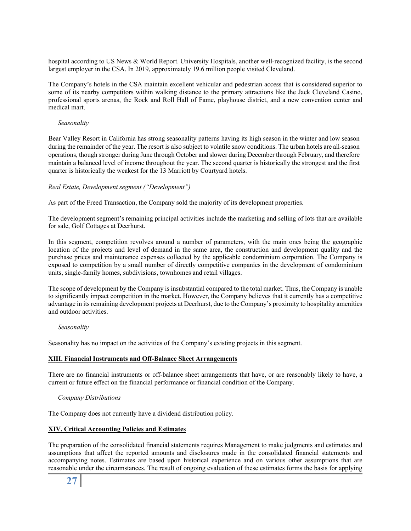hospital according to US News & World Report. University Hospitals, another well-recognized facility, is the second largest employer in the CSA. In 2019, approximately 19.6 million people visited Cleveland.

The Company's hotels in the CSA maintain excellent vehicular and pedestrian access that is considered superior to some of its nearby competitors within walking distance to the primary attractions like the Jack Cleveland Casino, professional sports arenas, the Rock and Roll Hall of Fame, playhouse district, and a new convention center and medical mart.

#### *Seasonality*

Bear Valley Resort in California has strong seasonality patterns having its high season in the winter and low season during the remainder of the year. The resort is also subject to volatile snow conditions. The urban hotels are all-season operations, though stronger during June through October and slower during December through February, and therefore maintain a balanced level of income throughout the year. The second quarter is historically the strongest and the first quarter is historically the weakest for the 13 Marriott by Courtyard hotels.

#### *Real Estate, Development segment ("Development")*

As part of the Freed Transaction, the Company sold the majority of its development properties.

The development segment's remaining principal activities include the marketing and selling of lots that are available for sale, Golf Cottages at Deerhurst.

In this segment, competition revolves around a number of parameters, with the main ones being the geographic location of the projects and level of demand in the same area, the construction and development quality and the purchase prices and maintenance expenses collected by the applicable condominium corporation. The Company is exposed to competition by a small number of directly competitive companies in the development of condominium units, single-family homes, subdivisions, townhomes and retail villages.

The scope of development by the Company is insubstantial compared to the total market. Thus, the Company is unable to significantly impact competition in the market. However, the Company believes that it currently has a competitive advantage in its remaining development projects at Deerhurst, due to the Company's proximity to hospitality amenities and outdoor activities.

#### *Seasonality*

Seasonality has no impact on the activities of the Company's existing projects in this segment.

#### **XIII. Financial Instruments and Off-Balance Sheet Arrangements**

There are no financial instruments or off-balance sheet arrangements that have, or are reasonably likely to have, a current or future effect on the financial performance or financial condition of the Company.

#### *Company Distributions*

The Company does not currently have a dividend distribution policy.

#### **XIV. Critical Accounting Policies and Estimates**

The preparation of the consolidated financial statements requires Management to make judgments and estimates and assumptions that affect the reported amounts and disclosures made in the consolidated financial statements and accompanying notes. Estimates are based upon historical experience and on various other assumptions that are reasonable under the circumstances. The result of ongoing evaluation of these estimates forms the basis for applying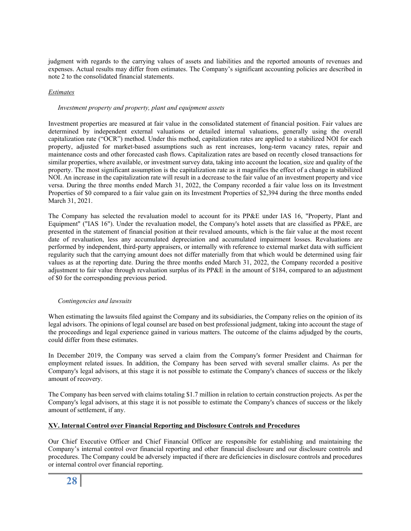judgment with regards to the carrying values of assets and liabilities and the reported amounts of revenues and expenses. Actual results may differ from estimates. The Company's significant accounting policies are described in note 2 to the consolidated financial statements.

#### *Estimates*

#### *Investment property and property, plant and equipment assets*

Investment properties are measured at fair value in the consolidated statement of financial position. Fair values are determined by independent external valuations or detailed internal valuations, generally using the overall capitalization rate ("OCR") method. Under this method, capitalization rates are applied to a stabilized NOI for each property, adjusted for market-based assumptions such as rent increases, long-term vacancy rates, repair and maintenance costs and other forecasted cash flows. Capitalization rates are based on recently closed transactions for similar properties, where available, or investment survey data, taking into account the location, size and quality of the property. The most significant assumption is the capitalization rate as it magnifies the effect of a change in stabilized NOI. An increase in the capitalization rate will result in a decrease to the fair value of an investment property and vice versa. During the three months ended March 31, 2022, the Company recorded a fair value loss on its Investment Properties of \$0 compared to a fair value gain on its Investment Properties of \$2,394 during the three months ended March 31, 2021.

The Company has selected the revaluation model to account for its PP&E under IAS 16, "Property, Plant and Equipment" ("IAS 16"). Under the revaluation model, the Company's hotel assets that are classified as PP&E, are presented in the statement of financial position at their revalued amounts, which is the fair value at the most recent date of revaluation, less any accumulated depreciation and accumulated impairment losses. Revaluations are performed by independent, third-party appraisers, or internally with reference to external market data with sufficient regularity such that the carrying amount does not differ materially from that which would be determined using fair values as at the reporting date. During the three months ended March 31, 2022, the Company recorded a positive adjustment to fair value through revaluation surplus of its PP&E in the amount of \$184, compared to an adjustment of \$0 for the corresponding previous period.

#### *Contingencies and lawsuits*

When estimating the lawsuits filed against the Company and its subsidiaries, the Company relies on the opinion of its legal advisors. The opinions of legal counsel are based on best professional judgment, taking into account the stage of the proceedings and legal experience gained in various matters. The outcome of the claims adjudged by the courts, could differ from these estimates.

In December 2019, the Company was served a claim from the Company's former President and Chairman for employment related issues. In addition, the Company has been served with several smaller claims. As per the Company's legal advisors, at this stage it is not possible to estimate the Company's chances of success or the likely amount of recovery.

The Company has been served with claims totaling \$1.7 million in relation to certain construction projects. As per the Company's legal advisors, at this stage it is not possible to estimate the Company's chances of success or the likely amount of settlement, if any.

#### **XV. Internal Control over Financial Reporting and Disclosure Controls and Procedures**

Our Chief Executive Officer and Chief Financial Officer are responsible for establishing and maintaining the Company's internal control over financial reporting and other financial disclosure and our disclosure controls and procedures. The Company could be adversely impacted if there are deficiencies in disclosure controls and procedures or internal control over financial reporting.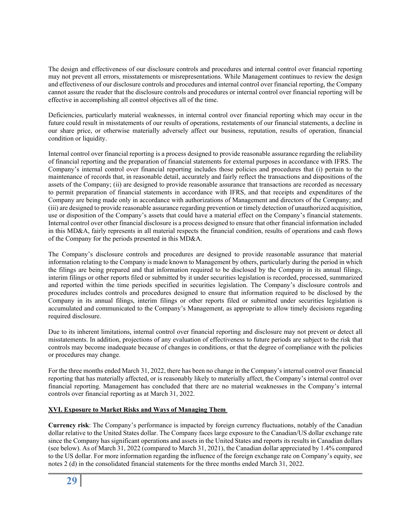The design and effectiveness of our disclosure controls and procedures and internal control over financial reporting may not prevent all errors, misstatements or misrepresentations. While Management continues to review the design and effectiveness of our disclosure controls and procedures and internal control over financial reporting, the Company cannot assure the reader that the disclosure controls and procedures or internal control over financial reporting will be effective in accomplishing all control objectives all of the time.

Deficiencies, particularly material weaknesses, in internal control over financial reporting which may occur in the future could result in misstatements of our results of operations, restatements of our financial statements, a decline in our share price, or otherwise materially adversely affect our business, reputation, results of operation, financial condition or liquidity.

Internal control over financial reporting is a process designed to provide reasonable assurance regarding the reliability of financial reporting and the preparation of financial statements for external purposes in accordance with IFRS. The Company's internal control over financial reporting includes those policies and procedures that (i) pertain to the maintenance of records that, in reasonable detail, accurately and fairly reflect the transactions and dispositions of the assets of the Company; (ii) are designed to provide reasonable assurance that transactions are recorded as necessary to permit preparation of financial statements in accordance with IFRS, and that receipts and expenditures of the Company are being made only in accordance with authorizations of Management and directors of the Company; and (iii) are designed to provide reasonable assurance regarding prevention or timely detection of unauthorized acquisition, use or disposition of the Company's assets that could have a material effect on the Company's financial statements. Internal control over other financial disclosure is a process designed to ensure that other financial information included in this MD&A, fairly represents in all material respects the financial condition, results of operations and cash flows of the Company for the periods presented in this MD&A.

The Company's disclosure controls and procedures are designed to provide reasonable assurance that material information relating to the Company is made known to Management by others, particularly during the period in which the filings are being prepared and that information required to be disclosed by the Company in its annual filings, interim filings or other reports filed or submitted by it under securities legislation is recorded, processed, summarized and reported within the time periods specified in securities legislation. The Company's disclosure controls and procedures includes controls and procedures designed to ensure that information required to be disclosed by the Company in its annual filings, interim filings or other reports filed or submitted under securities legislation is accumulated and communicated to the Company's Management, as appropriate to allow timely decisions regarding required disclosure.

Due to its inherent limitations, internal control over financial reporting and disclosure may not prevent or detect all misstatements. In addition, projections of any evaluation of effectiveness to future periods are subject to the risk that controls may become inadequate because of changes in conditions, or that the degree of compliance with the policies or procedures may change.

For the three months ended March 31, 2022, there has been no change in the Company's internal control over financial reporting that has materially affected, or is reasonably likely to materially affect, the Company's internal control over financial reporting. Management has concluded that there are no material weaknesses in the Company's internal controls over financial reporting as at March 31, 2022.

#### **XVI. Exposure to Market Risks and Ways of Managing Them**

**Currency risk**: The Company's performance is impacted by foreign currency fluctuations, notably of the Canadian dollar relative to the United States dollar. The Company faces large exposure to the Canadian/US dollar exchange rate since the Company has significant operations and assets in the United States and reports its results in Canadian dollars (see below). As of March 31, 2022 (compared to March 31, 2021), the Canadian dollar appreciated by 1.4% compared to the US dollar. For more information regarding the influence of the foreign exchange rate on Company's equity, see notes 2 (d) in the consolidated financial statements for the three months ended March 31, 2022.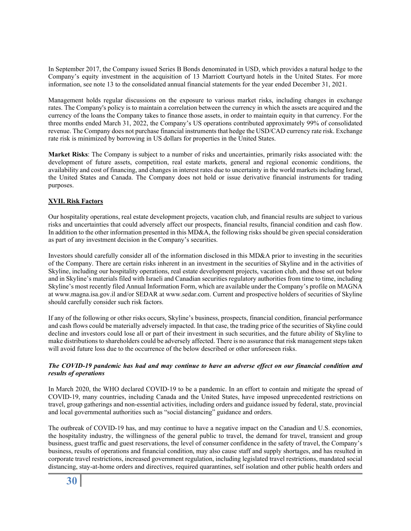In September 2017, the Company issued Series B Bonds denominated in USD, which provides a natural hedge to the Company's equity investment in the acquisition of 13 Marriott Courtyard hotels in the United States. For more information, see note 13 to the consolidated annual financial statements for the year ended December 31, 2021.

Management holds regular discussions on the exposure to various market risks, including changes in exchange rates. The Company's policy is to maintain a correlation between the currency in which the assets are acquired and the currency of the loans the Company takes to finance those assets, in order to maintain equity in that currency. For the three months ended March 31, 2022, the Company's US operations contributed approximately 99% of consolidated revenue. The Company does not purchase financial instruments that hedge the USD/CAD currency rate risk. Exchange rate risk is minimized by borrowing in US dollars for properties in the United States.

**Market Risks**: The Company is subject to a number of risks and uncertainties, primarily risks associated with: the development of future assets, competition, real estate markets, general and regional economic conditions, the availability and cost of financing, and changes in interest rates due to uncertainty in the world markets including Israel, the United States and Canada. The Company does not hold or issue derivative financial instruments for trading purposes.

#### **XVII. Risk Factors**

Our hospitality operations, real estate development projects, vacation club, and financial results are subject to various risks and uncertainties that could adversely affect our prospects, financial results, financial condition and cash flow. In addition to the other information presented in this MD&A, the following risks should be given special consideration as part of any investment decision in the Company's securities.

Investors should carefully consider all of the information disclosed in this MD&A prior to investing in the securities of the Company. There are certain risks inherent in an investment in the securities of Skyline and in the activities of Skyline, including our hospitality operations, real estate development projects, vacation club, and those set out below and in Skyline's materials filed with Israeli and Canadian securities regulatory authorities from time to time, including Skyline's most recently filed Annual Information Form, which are available under the Company's profile on MAGNA at www.magna.isa.gov.il and/or SEDAR at www.sedar.com. Current and prospective holders of securities of Skyline should carefully consider such risk factors.

If any of the following or other risks occurs, Skyline's business, prospects, financial condition, financial performance and cash flows could be materially adversely impacted. In that case, the trading price of the securities of Skyline could decline and investors could lose all or part of their investment in such securities, and the future ability of Skyline to make distributions to shareholders could be adversely affected. There is no assurance that risk management steps taken will avoid future loss due to the occurrence of the below described or other unforeseen risks.

#### *The COVID-19 pandemic has had and may continue to have an adverse effect on our financial condition and results of operations*

In March 2020, the WHO declared COVID-19 to be a pandemic. In an effort to contain and mitigate the spread of COVID-19, many countries, including Canada and the United States, have imposed unprecedented restrictions on travel, group gatherings and non-essential activities, including orders and guidance issued by federal, state, provincial and local governmental authorities such as "social distancing" guidance and orders.

The outbreak of COVID-19 has, and may continue to have a negative impact on the Canadian and U.S. economies, the hospitality industry, the willingness of the general public to travel, the demand for travel, transient and group business, guest traffic and guest reservations, the level of consumer confidence in the safety of travel, the Company's business, results of operations and financial condition, may also cause staff and supply shortages, and has resulted in corporate travel restrictions, increased government regulation, including legislated travel restrictions, mandated social distancing, stay-at-home orders and directives, required quarantines, self isolation and other public health orders and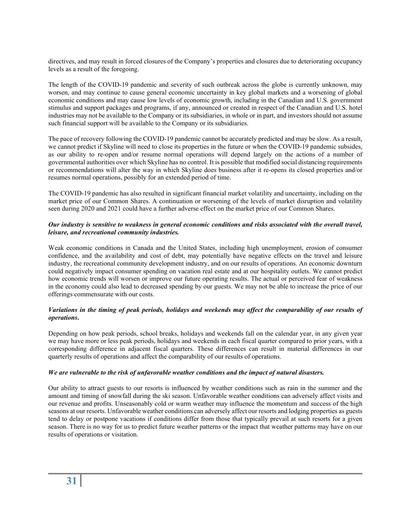directives, and may result in forced closures of the Company's properties and closures due to deteriorating occupancy levels as a result of the foregoing.

The length of the COVID-19 pandemic and severity of such outbreak across the globe is currently unknown, may worsen, and may continue to cause general economic uncertainty in key global markets and a worsening of global economic conditions and may cause low levels of economic growth, including in the Canadian and U.S. government stimulus and support packages and programs, if any, announced or created in respect of the Canadian and U.S. hotel industries may not be available to the Company or its subsidiaries, in whole or in part, and investors should not assume such financial support will be available to the Company or its subsidiaries.

The pace of recovery following the COVID-19 pandemic cannot be accurately predicted and may be slow. As a result, we cannot predict if Skyline will need to close its properties in the future or when the COVID-19 pandemic subsides, as our ability to re-open and/or resume normal operations will depend largely on the actions of a number of governmental authorities over which Skyline has no control. It is possible that modified social distancing requirements or recommendations will alter the way in which Skyline does business after it re-opens its closed properties and/or resumes normal operations, possibly for an extended period of time.

The COVID-19 pandemic has also resulted in significant financial market volatility and uncertainty, including on the market price of our Common Shares. A continuation or worsening of the levels of market disruption and volatility seen during 2020 and 2021 could have a further adverse effect on the market price of our Common Shares.

#### *Our industry is sensitive to weakness in general economic conditions and risks associated with the overall travel, leisure, and recreational community industries.*

Weak economic conditions in Canada and the United States, including high unemployment, erosion of consumer confidence, and the availability and cost of debt, may potentially have negative effects on the travel and leisure industry, the recreational community development industry, and on our results of operations. An economic downturn could negatively impact consumer spending on vacation real estate and at our hospitality outlets. We cannot predict how economic trends will worsen or improve our future operating results. The actual or perceived fear of weakness in the economy could also lead to decreased spending by our guests. We may not be able to increase the price of our offerings commensurate with our costs.

#### *Variations in the timing of peak periods, holidays and weekends may affect the comparability of our results of operations***.**

Depending on how peak periods, school breaks, holidays and weekends fall on the calendar year, in any given year we may have more or less peak periods, holidays and weekends in each fiscal quarter compared to prior years, with a corresponding difference in adjacent fiscal quarters. These differences can result in material differences in our quarterly results of operations and affect the comparability of our results of operations.

#### *We are vulnerable to the risk of unfavorable weather conditions and the impact of natural disasters.*

Our ability to attract guests to our resorts is influenced by weather conditions such as rain in the summer and the amount and timing of snowfall during the ski season. Unfavorable weather conditions can adversely affect visits and our revenue and profits. Unseasonably cold or warm weather may influence the momentum and success of the high seasons at our resorts. Unfavorable weather conditions can adversely affect our resorts and lodging properties as guests tend to delay or postpone vacations if conditions differ from those that typically prevail at such resorts for a given season. There is no way for us to predict future weather patterns or the impact that weather patterns may have on our results of operations or visitation.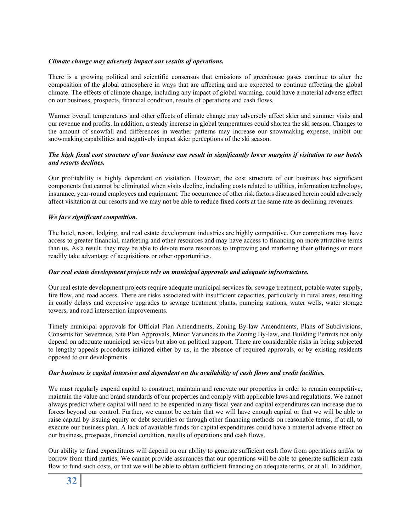#### *Climate change may adversely impact our results of operations.*

There is a growing political and scientific consensus that emissions of greenhouse gases continue to alter the composition of the global atmosphere in ways that are affecting and are expected to continue affecting the global climate. The effects of climate change, including any impact of global warming, could have a material adverse effect on our business, prospects, financial condition, results of operations and cash flows.

Warmer overall temperatures and other effects of climate change may adversely affect skier and summer visits and our revenue and profits. In addition, a steady increase in global temperatures could shorten the ski season. Changes to the amount of snowfall and differences in weather patterns may increase our snowmaking expense, inhibit our snowmaking capabilities and negatively impact skier perceptions of the ski season.

#### *The high fixed cost structure of our business can result in significantly lower margins if visitation to our hotels and resorts declines.*

Our profitability is highly dependent on visitation. However, the cost structure of our business has significant components that cannot be eliminated when visits decline, including costs related to utilities, information technology, insurance, year-round employees and equipment. The occurrence of other risk factors discussed herein could adversely affect visitation at our resorts and we may not be able to reduce fixed costs at the same rate as declining revenues.

#### *We face significant competition.*

The hotel, resort, lodging, and real estate development industries are highly competitive. Our competitors may have access to greater financial, marketing and other resources and may have access to financing on more attractive terms than us. As a result, they may be able to devote more resources to improving and marketing their offerings or more readily take advantage of acquisitions or other opportunities.

#### *Our real estate development projects rely on municipal approvals and adequate infrastructure.*

Our real estate development projects require adequate municipal services for sewage treatment, potable water supply, fire flow, and road access. There are risks associated with insufficient capacities, particularly in rural areas, resulting in costly delays and expensive upgrades to sewage treatment plants, pumping stations, water wells, water storage towers, and road intersection improvements.

Timely municipal approvals for Official Plan Amendments, Zoning By-law Amendments, Plans of Subdivisions, Consents for Severance, Site Plan Approvals, Minor Variances to the Zoning By-law, and Building Permits not only depend on adequate municipal services but also on political support. There are considerable risks in being subjected to lengthy appeals procedures initiated either by us, in the absence of required approvals, or by existing residents opposed to our developments.

#### *Our business is capital intensive and dependent on the availability of cash flows and credit facilities.*

We must regularly expend capital to construct, maintain and renovate our properties in order to remain competitive, maintain the value and brand standards of our properties and comply with applicable laws and regulations. We cannot always predict where capital will need to be expended in any fiscal year and capital expenditures can increase due to forces beyond our control. Further, we cannot be certain that we will have enough capital or that we will be able to raise capital by issuing equity or debt securities or through other financing methods on reasonable terms, if at all, to execute our business plan. A lack of available funds for capital expenditures could have a material adverse effect on our business, prospects, financial condition, results of operations and cash flows.

Our ability to fund expenditures will depend on our ability to generate sufficient cash flow from operations and/or to borrow from third parties. We cannot provide assurances that our operations will be able to generate sufficient cash flow to fund such costs, or that we will be able to obtain sufficient financing on adequate terms, or at all. In addition,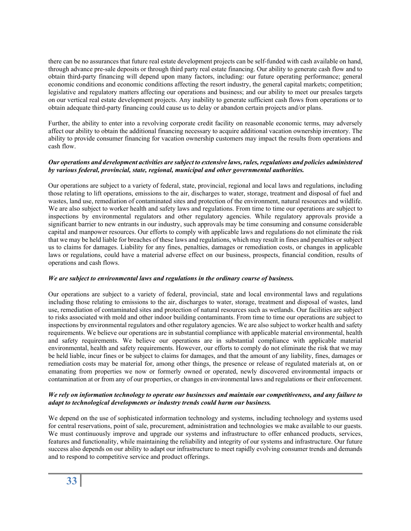there can be no assurances that future real estate development projects can be self-funded with cash available on hand, through advance pre-sale deposits or through third party real estate financing. Our ability to generate cash flow and to obtain third-party financing will depend upon many factors, including: our future operating performance; general economic conditions and economic conditions affecting the resort industry, the general capital markets; competition; legislative and regulatory matters affecting our operations and business; and our ability to meet our presales targets on our vertical real estate development projects. Any inability to generate sufficient cash flows from operations or to obtain adequate third-party financing could cause us to delay or abandon certain projects and/or plans.

Further, the ability to enter into a revolving corporate credit facility on reasonable economic terms, may adversely affect our ability to obtain the additional financing necessary to acquire additional vacation ownership inventory. The ability to provide consumer financing for vacation ownership customers may impact the results from operations and cash flow.

#### *Our operations and development activities are subject to extensive laws, rules, regulations and policies administered by various federal, provincial, state, regional, municipal and other governmental authorities.*

Our operations are subject to a variety of federal, state, provincial, regional and local laws and regulations, including those relating to lift operations, emissions to the air, discharges to water, storage, treatment and disposal of fuel and wastes, land use, remediation of contaminated sites and protection of the environment, natural resources and wildlife. We are also subject to worker health and safety laws and regulations. From time to time our operations are subject to inspections by environmental regulators and other regulatory agencies. While regulatory approvals provide a significant barrier to new entrants in our industry, such approvals may be time consuming and consume considerable capital and manpower resources. Our efforts to comply with applicable laws and regulations do not eliminate the risk that we may be held liable for breaches of these laws and regulations, which may result in fines and penalties or subject us to claims for damages. Liability for any fines, penalties, damages or remediation costs, or changes in applicable laws or regulations, could have a material adverse effect on our business, prospects, financial condition, results of operations and cash flows.

#### *We are subject to environmental laws and regulations in the ordinary course of business.*

Our operations are subject to a variety of federal, provincial, state and local environmental laws and regulations including those relating to emissions to the air, discharges to water, storage, treatment and disposal of wastes, land use, remediation of contaminated sites and protection of natural resources such as wetlands. Our facilities are subject to risks associated with mold and other indoor building contaminants. From time to time our operations are subject to inspections by environmental regulators and other regulatory agencies. We are also subject to worker health and safety requirements. We believe our operations are in substantial compliance with applicable material environmental, health and safety requirements. We believe our operations are in substantial compliance with applicable material environmental, health and safety requirements. However, our efforts to comply do not eliminate the risk that we may be held liable, incur fines or be subject to claims for damages, and that the amount of any liability, fines, damages or remediation costs may be material for, among other things, the presence or release of regulated materials at, on or emanating from properties we now or formerly owned or operated, newly discovered environmental impacts or contamination at or from any of our properties, or changes in environmental laws and regulations or their enforcement.

#### *We rely on information technology to operate our businesses and maintain our competitiveness, and any failure to adapt to technological developments or industry trends could harm our business.*

We depend on the use of sophisticated information technology and systems, including technology and systems used for central reservations, point of sale, procurement, administration and technologies we make available to our guests. We must continuously improve and upgrade our systems and infrastructure to offer enhanced products, services, features and functionality, while maintaining the reliability and integrity of our systems and infrastructure. Our future success also depends on our ability to adapt our infrastructure to meet rapidly evolving consumer trends and demands and to respond to competitive service and product offerings.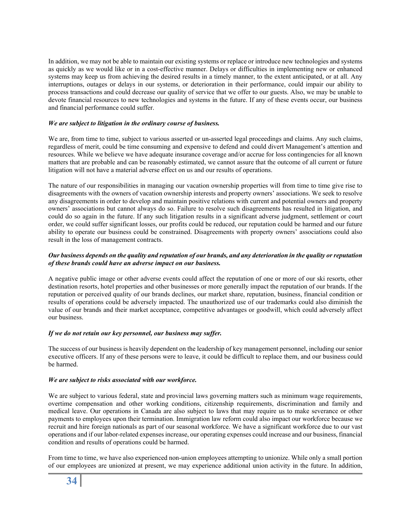In addition, we may not be able to maintain our existing systems or replace or introduce new technologies and systems as quickly as we would like or in a cost-effective manner. Delays or difficulties in implementing new or enhanced systems may keep us from achieving the desired results in a timely manner, to the extent anticipated, or at all. Any interruptions, outages or delays in our systems, or deterioration in their performance, could impair our ability to process transactions and could decrease our quality of service that we offer to our guests. Also, we may be unable to devote financial resources to new technologies and systems in the future. If any of these events occur, our business and financial performance could suffer.

#### *We are subject to litigation in the ordinary course of business.*

We are, from time to time, subject to various asserted or un-asserted legal proceedings and claims. Any such claims, regardless of merit, could be time consuming and expensive to defend and could divert Management's attention and resources. While we believe we have adequate insurance coverage and/or accrue for loss contingencies for all known matters that are probable and can be reasonably estimated, we cannot assure that the outcome of all current or future litigation will not have a material adverse effect on us and our results of operations.

The nature of our responsibilities in managing our vacation ownership properties will from time to time give rise to disagreements with the owners of vacation ownership interests and property owners' associations. We seek to resolve any disagreements in order to develop and maintain positive relations with current and potential owners and property owners' associations but cannot always do so. Failure to resolve such disagreements has resulted in litigation, and could do so again in the future. If any such litigation results in a significant adverse judgment, settlement or court order, we could suffer significant losses, our profits could be reduced, our reputation could be harmed and our future ability to operate our business could be constrained. Disagreements with property owners' associations could also result in the loss of management contracts.

#### *Our business depends on the quality and reputation of our brands, and any deterioration in the quality or reputation of these brands could have an adverse impact on our business.*

A negative public image or other adverse events could affect the reputation of one or more of our ski resorts, other destination resorts, hotel properties and other businesses or more generally impact the reputation of our brands. If the reputation or perceived quality of our brands declines, our market share, reputation, business, financial condition or results of operations could be adversely impacted. The unauthorized use of our trademarks could also diminish the value of our brands and their market acceptance, competitive advantages or goodwill, which could adversely affect our business.

#### *If we do not retain our key personnel, our business may suffer.*

The success of our business is heavily dependent on the leadership of key management personnel, including our senior executive officers. If any of these persons were to leave, it could be difficult to replace them, and our business could be harmed.

#### *We are subject to risks associated with our workforce.*

We are subject to various federal, state and provincial laws governing matters such as minimum wage requirements, overtime compensation and other working conditions, citizenship requirements, discrimination and family and medical leave. Our operations in Canada are also subject to laws that may require us to make severance or other payments to employees upon their termination. Immigration law reform could also impact our workforce because we recruit and hire foreign nationals as part of our seasonal workforce. We have a significant workforce due to our vast operations and if our labor-related expenses increase, our operating expenses could increase and our business, financial condition and results of operations could be harmed.

From time to time, we have also experienced non-union employees attempting to unionize. While only a small portion of our employees are unionized at present, we may experience additional union activity in the future. In addition,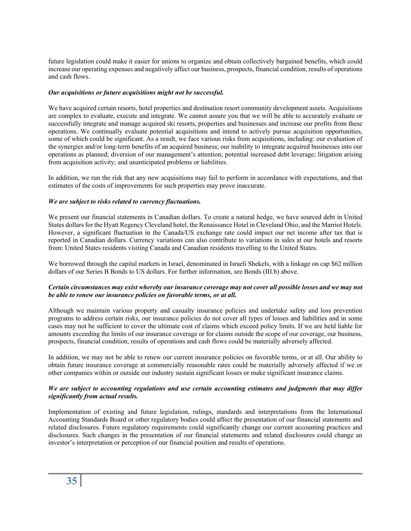future legislation could make it easier for unions to organize and obtain collectively bargained benefits, which could increase our operating expenses and negatively affect our business, prospects, financial condition, results of operations and cash flows.

#### *Our acquisitions or future acquisitions might not be successful.*

We have acquired certain resorts, hotel properties and destination resort community development assets. Acquisitions are complex to evaluate, execute and integrate. We cannot assure you that we will be able to accurately evaluate or successfully integrate and manage acquired ski resorts, properties and businesses and increase our profits from these operations. We continually evaluate potential acquisitions and intend to actively pursue acquisition opportunities, some of which could be significant. As a result, we face various risks from acquisitions, including: our evaluation of the synergies and/or long-term benefits of an acquired business; our inability to integrate acquired businesses into our operations as planned; diversion of our management's attention; potential increased debt leverage; litigation arising from acquisition activity; and unanticipated problems or liabilities.

In addition, we run the risk that any new acquisitions may fail to perform in accordance with expectations, and that estimates of the costs of improvements for such properties may prove inaccurate.

#### *We are subject to risks related to currency fluctuations.*

We present our financial statements in Canadian dollars. To create a natural hedge, we have sourced debt in United States dollars for the Hyatt Regency Cleveland hotel, the Renaissance Hotel in Cleveland Ohio, and the Marriot Hotels. However, a significant fluctuation in the Canada/US exchange rate could impact our net income after tax that is reported in Canadian dollars. Currency variations can also contribute to variations in sales at our hotels and resorts from: United States residents visiting Canada and Canadian residents travelling to the United States.

We borrowed through the capital markets in Israel, denominated in Israeli Shekels, with a linkage on cap \$62 million dollars of our Series B Bonds to US dollars. For further information, see Bonds (III.b) above.

#### *Certain circumstances may exist whereby our insurance coverage may not cover all possible losses and we may not be able to renew our insurance policies on favorable terms, or at all.*

Although we maintain various property and casualty insurance policies and undertake safety and loss prevention programs to address certain risks, our insurance policies do not cover all types of losses and liabilities and in some cases may not be sufficient to cover the ultimate cost of claims which exceed policy limits. If we are held liable for amounts exceeding the limits of our insurance coverage or for claims outside the scope of our coverage, our business, prospects, financial condition, results of operations and cash flows could be materially adversely affected.

In addition, we may not be able to renew our current insurance policies on favorable terms, or at all. Our ability to obtain future insurance coverage at commercially reasonable rates could be materially adversely affected if we or other companies within or outside our industry sustain significant losses or make significant insurance claims.

#### *We are subject to accounting regulations and use certain accounting estimates and judgments that may differ significantly from actual results.*

Implementation of existing and future legislation, rulings, standards and interpretations from the International Accounting Standards Board or other regulatory bodies could affect the presentation of our financial statements and related disclosures. Future regulatory requirements could significantly change our current accounting practices and disclosures. Such changes in the presentation of our financial statements and related disclosures could change an investor's interpretation or perception of our financial position and results of operations.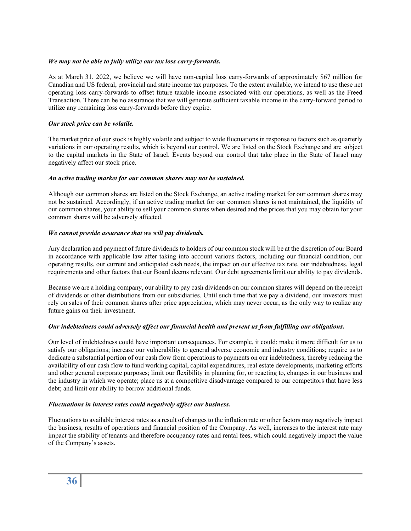#### *We may not be able to fully utilize our tax loss carry-forwards.*

As at March 31, 2022, we believe we will have non-capital loss carry-forwards of approximately \$67 million for Canadian and US federal, provincial and state income tax purposes. To the extent available, we intend to use these net operating loss carry-forwards to offset future taxable income associated with our operations, as well as the Freed Transaction. There can be no assurance that we will generate sufficient taxable income in the carry-forward period to utilize any remaining loss carry-forwards before they expire.

#### *Our stock price can be volatile.*

The market price of our stock is highly volatile and subject to wide fluctuations in response to factors such as quarterly variations in our operating results, which is beyond our control. We are listed on the Stock Exchange and are subject to the capital markets in the State of Israel. Events beyond our control that take place in the State of Israel may negatively affect our stock price.

#### *An active trading market for our common shares may not be sustained.*

Although our common shares are listed on the Stock Exchange, an active trading market for our common shares may not be sustained. Accordingly, if an active trading market for our common shares is not maintained, the liquidity of our common shares, your ability to sell your common shares when desired and the prices that you may obtain for your common shares will be adversely affected.

#### *We cannot provide assurance that we will pay dividends.*

Any declaration and payment of future dividends to holders of our common stock will be at the discretion of our Board in accordance with applicable law after taking into account various factors, including our financial condition, our operating results, our current and anticipated cash needs, the impact on our effective tax rate, our indebtedness, legal requirements and other factors that our Board deems relevant. Our debt agreements limit our ability to pay dividends.

Because we are a holding company, our ability to pay cash dividends on our common shares will depend on the receipt of dividends or other distributions from our subsidiaries. Until such time that we pay a dividend, our investors must rely on sales of their common shares after price appreciation, which may never occur, as the only way to realize any future gains on their investment.

#### *Our indebtedness could adversely affect our financial health and prevent us from fulfilling our obligations.*

Our level of indebtedness could have important consequences. For example, it could: make it more difficult for us to satisfy our obligations; increase our vulnerability to general adverse economic and industry conditions; require us to dedicate a substantial portion of our cash flow from operations to payments on our indebtedness, thereby reducing the availability of our cash flow to fund working capital, capital expenditures, real estate developments, marketing efforts and other general corporate purposes; limit our flexibility in planning for, or reacting to, changes in our business and the industry in which we operate; place us at a competitive disadvantage compared to our competitors that have less debt; and limit our ability to borrow additional funds.

#### *Fluctuations in interest rates could negatively affect our business.*

Fluctuations to available interest rates as a result of changes to the inflation rate or other factors may negatively impact the business, results of operations and financial position of the Company. As well, increases to the interest rate may impact the stability of tenants and therefore occupancy rates and rental fees, which could negatively impact the value of the Company's assets.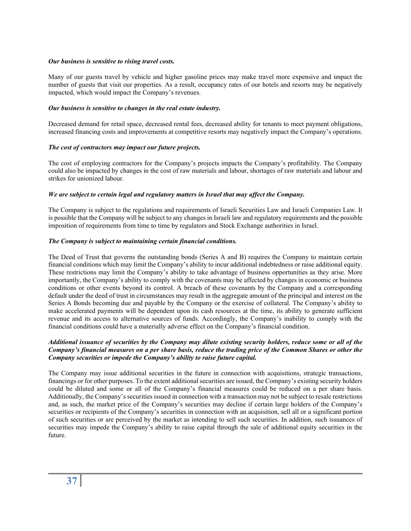#### *Our business is sensitive to rising travel costs.*

Many of our guests travel by vehicle and higher gasoline prices may make travel more expensive and impact the number of guests that visit our properties. As a result, occupancy rates of our hotels and resorts may be negatively impacted, which would impact the Company's revenues.

#### *Our business is sensitive to changes in the real estate industry.*

Decreased demand for retail space, decreased rental fees, decreased ability for tenants to meet payment obligations, increased financing costs and improvements at competitive resorts may negatively impact the Company's operations.

#### *The cost of contractors may impact our future projects.*

The cost of employing contractors for the Company's projects impacts the Company's profitability. The Company could also be impacted by changes in the cost of raw materials and labour, shortages of raw materials and labour and strikes for unionized labour.

#### *We are subject to certain legal and regulatory matters in Israel that may affect the Company.*

The Company is subject to the regulations and requirements of Israeli Securities Law and Israeli Companies Law. It is possible that the Company will be subject to any changes in Israeli law and regulatory requirements and the possible imposition of requirements from time to time by regulators and Stock Exchange authorities in Israel.

#### *The Company is subject to maintaining certain financial conditions.*

The Deed of Trust that governs the outstanding bonds (Series A and B) requires the Company to maintain certain financial conditions which may limit the Company's ability to incur additional indebtedness or raise additional equity. These restrictions may limit the Company's ability to take advantage of business opportunities as they arise. More importantly, the Company's ability to comply with the covenants may be affected by changes in economic or business conditions or other events beyond its control. A breach of these covenants by the Company and a corresponding default under the deed of trust in circumstances may result in the aggregate amount of the principal and interest on the Series A Bonds becoming due and payable by the Company or the exercise of collateral. The Company's ability to make accelerated payments will be dependent upon its cash resources at the time, its ability to generate sufficient revenue and its access to alternative sources of funds. Accordingly, the Company's inability to comply with the financial conditions could have a materially adverse effect on the Company's financial condition.

#### *Additional issuance of securities by the Company may dilute existing security holders, reduce some or all of the Company's financial measures on a per share basis, reduce the trading price of the Common Shares or other the Company securities or impede the Company's ability to raise future capital.*

The Company may issue additional securities in the future in connection with acquisitions, strategic transactions, financings or for other purposes. To the extent additional securities are issued, the Company's existing security holders could be diluted and some or all of the Company's financial measures could be reduced on a per share basis. Additionally, the Company's securities issued in connection with a transaction may not be subject to resale restrictions and, as such, the market price of the Company's securities may decline if certain large holders of the Company's securities or recipients of the Company's securities in connection with an acquisition, sell all or a significant portion of such securities or are perceived by the market as intending to sell such securities. In addition, such issuances of securities may impede the Company's ability to raise capital through the sale of additional equity securities in the future.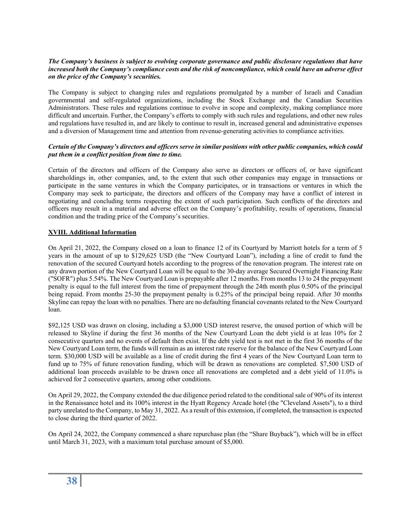#### *The Company's business is subject to evolving corporate governance and public disclosure regulations that have increased both the Company's compliance costs and the risk of noncompliance, which could have an adverse effect on the price of the Company's securities.*

The Company is subject to changing rules and regulations promulgated by a number of Israeli and Canadian governmental and self-regulated organizations, including the Stock Exchange and the Canadian Securities Administrators. These rules and regulations continue to evolve in scope and complexity, making compliance more difficult and uncertain. Further, the Company's efforts to comply with such rules and regulations, and other new rules and regulations have resulted in, and are likely to continue to result in, increased general and administrative expenses and a diversion of Management time and attention from revenue-generating activities to compliance activities.

#### *Certain of the Company's directors and officers serve in similar positions with other public companies, which could put them in a conflict position from time to time.*

Certain of the directors and officers of the Company also serve as directors or officers of, or have significant shareholdings in, other companies, and, to the extent that such other companies may engage in transactions or participate in the same ventures in which the Company participates, or in transactions or ventures in which the Company may seek to participate, the directors and officers of the Company may have a conflict of interest in negotiating and concluding terms respecting the extent of such participation. Such conflicts of the directors and officers may result in a material and adverse effect on the Company's profitability, results of operations, financial condition and the trading price of the Company's securities.

#### **XVIII. Additional Information**

On April 21, 2022, the Company closed on a loan to finance 12 of its Courtyard by Marriott hotels for a term of 5 years in the amount of up to \$129,625 USD (the "New Courtyard Loan"), including a line of credit to fund the renovation of the secured Courtyard hotels according to the progress of the renovation program. The interest rate on any drawn portion of the New Courtyard Loan will be equal to the 30-day average Secured Overnight Financing Rate ("SOFR") plus 5.54%. The New Courtyard Loan is prepayable after 12 months. From months 13 to 24 the prepayment penalty is equal to the full interest from the time of prepayment through the 24th month plus 0.50% of the principal being repaid. From months 25-30 the prepayment penalty is 0.25% of the principal being repaid. After 30 months Skyline can repay the loan with no penalties. There are no defaulting financial covenants related to the New Courtyard loan.

\$92,125 USD was drawn on closing, including a \$3,000 USD interest reserve, the unused portion of which will be released to Skyline if during the first 36 months of the New Courtyard Loan the debt yield is at leas 10% for 2 consecutive quarters and no events of default then exist. If the debt yield test is not met in the first 36 months of the New Courtyard Loan term, the funds will remain as an interest rate reserve for the balance of the New Courtyard Loan term. \$30,000 USD will be available as a line of credit during the first 4 years of the New Courtyard Loan term to fund up to 75% of future renovation funding, which will be drawn as renovations are completed. \$7,500 USD of additional loan proceeds available to be drawn once all renovations are completed and a debt yield of 11.0% is achieved for 2 consecutive quarters, among other conditions.

On April 29, 2022, the Company extended the due diligence period related to the conditional sale of 90% of its interest in the Renaissance hotel and its 100% interest in the Hyatt Regency Arcade hotel (the "Cleveland Assets"), to a third party unrelated to the Company, to May 31, 2022. As a result of this extension, if completed, the transaction is expected to close during the third quarter of 2022.

On April 24, 2022, the Company commenced a share repurchase plan (the "Share Buyback"), which will be in effect until March 31, 2023, with a maximum total purchase amount of \$5,000.